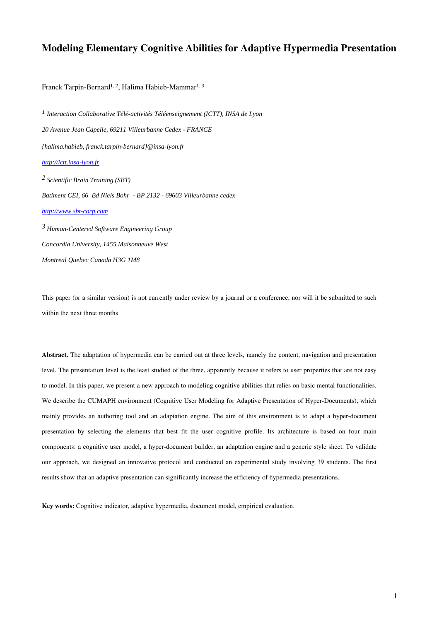# **Modeling Elementary Cognitive Abilities for Adaptive Hypermedia Presentation**

Franck Tarpin-Bernard<sup>1, 2</sup>, Halima Habieb-Mammar<sup>1, 3</sup>

*1 Interaction Collaborative Télé-activités Téléenseignement (ICTT), INSA de Lyon 20 Avenue Jean Capelle, 69211 Villeurbanne Cedex - FRANCE {halima.habieb, franck.tarpin-bernard}@insa-lyon.fr http://ictt.insa-lyon.fr 2 Scientific Brain Training (SBT) Batiment CEI, 66 Bd Niels Bohr - BP 2132 - 69603 Villeurbanne cedex http://www.sbt-corp.com 3 Human-Centered Software Engineering Group* 

*Concordia University, 1455 Maisonneuve West Montreal Quebec Canada H3G 1M8* 

This paper (or a similar version) is not currently under review by a journal or a conference, nor will it be submitted to such within the next three months

**Abstract.** The adaptation of hypermedia can be carried out at three levels, namely the content, navigation and presentation level. The presentation level is the least studied of the three, apparently because it refers to user properties that are not easy to model. In this paper, we present a new approach to modeling cognitive abilities that relies on basic mental functionalities. We describe the CUMAPH environment (Cognitive User Modeling for Adaptive Presentation of Hyper-Documents), which mainly provides an authoring tool and an adaptation engine. The aim of this environment is to adapt a hyper-document presentation by selecting the elements that best fit the user cognitive profile. Its architecture is based on four main components: a cognitive user model, a hyper-document builder, an adaptation engine and a generic style sheet. To validate our approach, we designed an innovative protocol and conducted an experimental study involving 39 students. The first results show that an adaptive presentation can significantly increase the efficiency of hypermedia presentations.

**Key words:** Cognitive indicator, adaptive hypermedia, document model, empirical evaluation.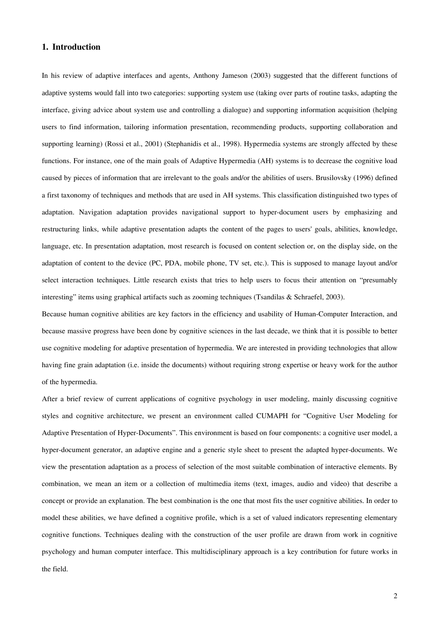## **1. Introduction**

In his review of adaptive interfaces and agents, Anthony Jameson (2003) suggested that the different functions of adaptive systems would fall into two categories: supporting system use (taking over parts of routine tasks, adapting the interface, giving advice about system use and controlling a dialogue) and supporting information acquisition (helping users to find information, tailoring information presentation, recommending products, supporting collaboration and supporting learning) (Rossi et al., 2001) (Stephanidis et al., 1998). Hypermedia systems are strongly affected by these functions. For instance, one of the main goals of Adaptive Hypermedia (AH) systems is to decrease the cognitive load caused by pieces of information that are irrelevant to the goals and/or the abilities of users. Brusilovsky (1996) defined a first taxonomy of techniques and methods that are used in AH systems. This classification distinguished two types of adaptation. Navigation adaptation provides navigational support to hyper-document users by emphasizing and restructuring links, while adaptive presentation adapts the content of the pages to users' goals, abilities, knowledge, language, etc. In presentation adaptation, most research is focused on content selection or, on the display side, on the adaptation of content to the device (PC, PDA, mobile phone, TV set, etc.). This is supposed to manage layout and/or select interaction techniques. Little research exists that tries to help users to focus their attention on "presumably interesting" items using graphical artifacts such as zooming techniques (Tsandilas & Schraefel, 2003).

Because human cognitive abilities are key factors in the efficiency and usability of Human-Computer Interaction, and because massive progress have been done by cognitive sciences in the last decade, we think that it is possible to better use cognitive modeling for adaptive presentation of hypermedia. We are interested in providing technologies that allow having fine grain adaptation (i.e. inside the documents) without requiring strong expertise or heavy work for the author of the hypermedia.

After a brief review of current applications of cognitive psychology in user modeling, mainly discussing cognitive styles and cognitive architecture, we present an environment called CUMAPH for "Cognitive User Modeling for Adaptive Presentation of Hyper-Documents". This environment is based on four components: a cognitive user model, a hyper-document generator, an adaptive engine and a generic style sheet to present the adapted hyper-documents. We view the presentation adaptation as a process of selection of the most suitable combination of interactive elements. By combination, we mean an item or a collection of multimedia items (text, images, audio and video) that describe a concept or provide an explanation. The best combination is the one that most fits the user cognitive abilities. In order to model these abilities, we have defined a cognitive profile, which is a set of valued indicators representing elementary cognitive functions. Techniques dealing with the construction of the user profile are drawn from work in cognitive psychology and human computer interface. This multidisciplinary approach is a key contribution for future works in the field.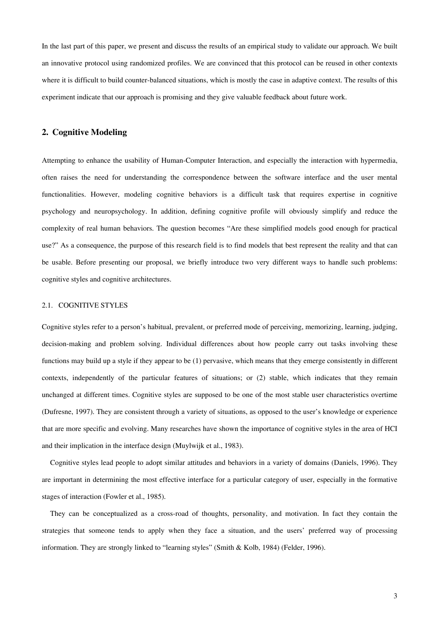In the last part of this paper, we present and discuss the results of an empirical study to validate our approach. We built an innovative protocol using randomized profiles. We are convinced that this protocol can be reused in other contexts where it is difficult to build counter-balanced situations, which is mostly the case in adaptive context. The results of this experiment indicate that our approach is promising and they give valuable feedback about future work.

## **2. Cognitive Modeling**

Attempting to enhance the usability of Human-Computer Interaction, and especially the interaction with hypermedia, often raises the need for understanding the correspondence between the software interface and the user mental functionalities. However, modeling cognitive behaviors is a difficult task that requires expertise in cognitive psychology and neuropsychology. In addition, defining cognitive profile will obviously simplify and reduce the complexity of real human behaviors. The question becomes "Are these simplified models good enough for practical use?" As a consequence, the purpose of this research field is to find models that best represent the reality and that can be usable. Before presenting our proposal, we briefly introduce two very different ways to handle such problems: cognitive styles and cognitive architectures.

## 2.1. COGNITIVE STYLES

Cognitive styles refer to a person's habitual, prevalent, or preferred mode of perceiving, memorizing, learning, judging, decision-making and problem solving. Individual differences about how people carry out tasks involving these functions may build up a style if they appear to be (1) pervasive, which means that they emerge consistently in different contexts, independently of the particular features of situations; or (2) stable, which indicates that they remain unchanged at different times. Cognitive styles are supposed to be one of the most stable user characteristics overtime (Dufresne, 1997). They are consistent through a variety of situations, as opposed to the user's knowledge or experience that are more specific and evolving. Many researches have shown the importance of cognitive styles in the area of HCI and their implication in the interface design (Muylwijk et al., 1983).

Cognitive styles lead people to adopt similar attitudes and behaviors in a variety of domains (Daniels, 1996). They are important in determining the most effective interface for a particular category of user, especially in the formative stages of interaction (Fowler et al., 1985).

They can be conceptualized as a cross-road of thoughts, personality, and motivation. In fact they contain the strategies that someone tends to apply when they face a situation, and the users' preferred way of processing information. They are strongly linked to "learning styles" (Smith & Kolb, 1984) (Felder, 1996).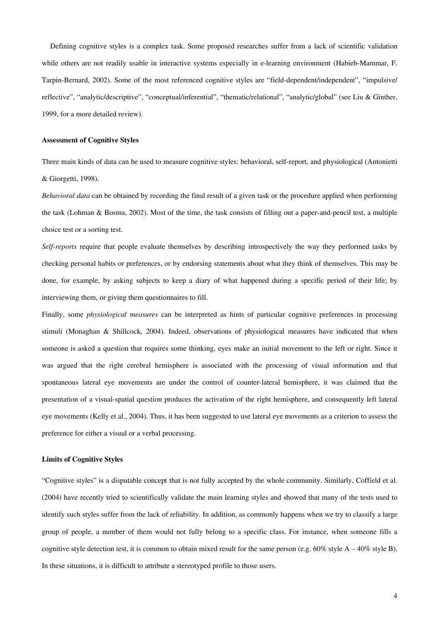Defining cognitive styles is a complex task. Some proposed researches suffer from a lack of scientific validation while others are not readily usable in interactive systems especially in e-learning environment (Habieb-Mammar, F. Tarpin-Bernard, 2002). Some of the most referenced cognitive styles are "field-dependent/independent", "impulsive/ reflective", "analytic/descriptive", "conceptual/inferential", "thematic/relational", "analytic/global" (see Liu & Ginther, 1999, for a more detailed review).

### **Assessment of Cognitive Styles**

Three main kinds of data can be used to measure cognitive styles: behavioral, self-report, and physiological (Antonietti & Giorgetti, 1998).

*Behavioral data* can be obtained by recording the final result of a given task or the procedure applied when performing the task (Lohman & Bosma, 2002). Most of the time, the task consists of filling out a paper-and-pencil test, a multiple choice test or a sorting test.

*Self-reports* require that people evaluate themselves by describing introspectively the way they performed tasks by checking personal habits or preferences, or by endorsing statements about what they think of themselves. This may be done, for example, by asking subjects to keep a diary of what happened during a specific period of their life; by interviewing them, or giving them questionnaires to fill.

Finally, some *physiological measures* can be interpreted as hints of particular cognitive preferences in processing stimuli (Monaghan & Shillcock, 2004). Indeed, observations of physiological measures have indicated that when someone is asked a question that requires some thinking, eyes make an initial movement to the left or right. Since it was argued that the right cerebral hemisphere is associated with the processing of visual information and that spontaneous lateral eye movements are under the control of counter-lateral hemisphere, it was claimed that the presentation of a visual-spatial question produces the activation of the right hemisphere, and consequently left lateral eye movements (Kelly et al., 2004). Thus, it has been suggested to use lateral eye movements as a criterion to assess the preference for either a visual or a verbal processing.

### **Limits of Cognitive Styles**

"Cognitive styles" is a disputable concept that is not fully accepted by the whole community. Similarly, Coffield et al. (2004) have recently tried to scientifically validate the main learning styles and showed that many of the tests used to identify such styles suffer from the lack of reliability. In addition, as commonly happens when we try to classify a large group of people, a number of them would not fully belong to a specific class. For instance, when someone fills a cognitive style detection test, it is common to obtain mixed result for the same person (e.g.  $60\%$  style A –  $40\%$  style B). In these situations, it is difficult to attribute a stereotyped profile to those users.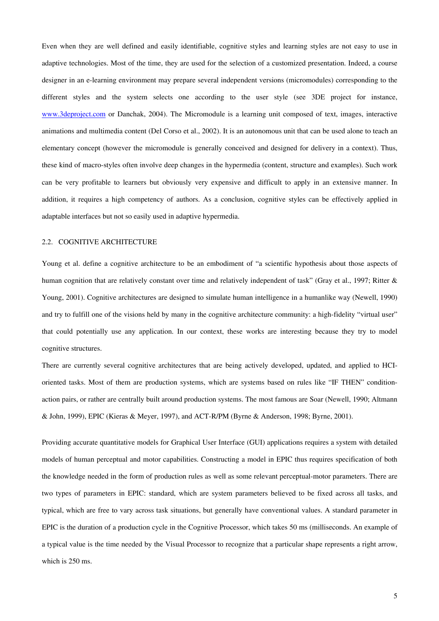Even when they are well defined and easily identifiable, cognitive styles and learning styles are not easy to use in adaptive technologies. Most of the time, they are used for the selection of a customized presentation. Indeed, a course designer in an e-learning environment may prepare several independent versions (micromodules) corresponding to the different styles and the system selects one according to the user style (see 3DE project for instance, www.3deproject.com or Danchak, 2004). The Micromodule is a learning unit composed of text, images, interactive animations and multimedia content (Del Corso et al., 2002). It is an autonomous unit that can be used alone to teach an elementary concept (however the micromodule is generally conceived and designed for delivery in a context). Thus, these kind of macro-styles often involve deep changes in the hypermedia (content, structure and examples). Such work can be very profitable to learners but obviously very expensive and difficult to apply in an extensive manner. In addition, it requires a high competency of authors. As a conclusion, cognitive styles can be effectively applied in adaptable interfaces but not so easily used in adaptive hypermedia.

### 2.2. COGNITIVE ARCHITECTURE

Young et al. define a cognitive architecture to be an embodiment of "a scientific hypothesis about those aspects of human cognition that are relatively constant over time and relatively independent of task" (Gray et al., 1997; Ritter & Young, 2001). Cognitive architectures are designed to simulate human intelligence in a humanlike way (Newell, 1990) and try to fulfill one of the visions held by many in the cognitive architecture community: a high-fidelity "virtual user" that could potentially use any application. In our context, these works are interesting because they try to model cognitive structures.

There are currently several cognitive architectures that are being actively developed, updated, and applied to HCIoriented tasks. Most of them are production systems, which are systems based on rules like "IF THEN" conditionaction pairs, or rather are centrally built around production systems. The most famous are Soar (Newell, 1990; Altmann & John, 1999), EPIC (Kieras & Meyer, 1997), and ACT-R/PM (Byrne & Anderson, 1998; Byrne, 2001).

Providing accurate quantitative models for Graphical User Interface (GUI) applications requires a system with detailed models of human perceptual and motor capabilities. Constructing a model in EPIC thus requires specification of both the knowledge needed in the form of production rules as well as some relevant perceptual-motor parameters. There are two types of parameters in EPIC: standard, which are system parameters believed to be fixed across all tasks, and typical, which are free to vary across task situations, but generally have conventional values. A standard parameter in EPIC is the duration of a production cycle in the Cognitive Processor, which takes 50 ms (milliseconds. An example of a typical value is the time needed by the Visual Processor to recognize that a particular shape represents a right arrow, which is 250 ms.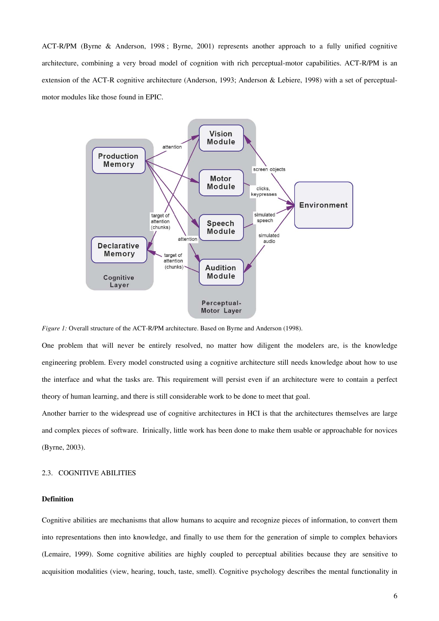ACT-R/PM (Byrne & Anderson, 1998 ; Byrne, 2001) represents another approach to a fully unified cognitive architecture, combining a very broad model of cognition with rich perceptual-motor capabilities. ACT-R/PM is an extension of the ACT-R cognitive architecture (Anderson, 1993; Anderson & Lebiere, 1998) with a set of perceptualmotor modules like those found in EPIC.



*Figure 1:* Overall structure of the ACT-R/PM architecture. Based on Byrne and Anderson (1998).

One problem that will never be entirely resolved, no matter how diligent the modelers are, is the knowledge engineering problem. Every model constructed using a cognitive architecture still needs knowledge about how to use the interface and what the tasks are. This requirement will persist even if an architecture were to contain a perfect theory of human learning, and there is still considerable work to be done to meet that goal.

Another barrier to the widespread use of cognitive architectures in HCI is that the architectures themselves are large and complex pieces of software. Irinically, little work has been done to make them usable or approachable for novices (Byrne, 2003).

### 2.3. COGNITIVE ABILITIES

### **Definition**

Cognitive abilities are mechanisms that allow humans to acquire and recognize pieces of information, to convert them into representations then into knowledge, and finally to use them for the generation of simple to complex behaviors (Lemaire, 1999). Some cognitive abilities are highly coupled to perceptual abilities because they are sensitive to acquisition modalities (view, hearing, touch, taste, smell). Cognitive psychology describes the mental functionality in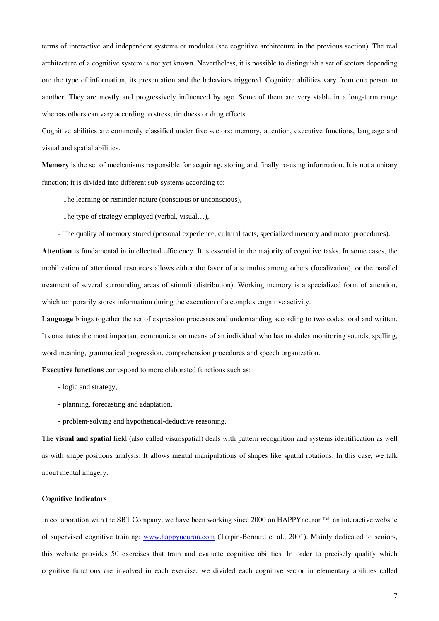terms of interactive and independent systems or modules (see cognitive architecture in the previous section). The real architecture of a cognitive system is not yet known. Nevertheless, it is possible to distinguish a set of sectors depending on: the type of information, its presentation and the behaviors triggered. Cognitive abilities vary from one person to another. They are mostly and progressively influenced by age. Some of them are very stable in a long-term range whereas others can vary according to stress, tiredness or drug effects.

Cognitive abilities are commonly classified under five sectors: memory, attention, executive functions, language and visual and spatial abilities.

**Memory** is the set of mechanisms responsible for acquiring, storing and finally re-using information. It is not a unitary function; it is divided into different sub-systems according to:

- The learning or reminder nature (conscious or unconscious),
- The type of strategy employed (verbal, visual…),
- The quality of memory stored (personal experience, cultural facts, specialized memory and motor procedures).

**Attention** is fundamental in intellectual efficiency. It is essential in the majority of cognitive tasks. In some cases, the mobilization of attentional resources allows either the favor of a stimulus among others (focalization), or the parallel treatment of several surrounding areas of stimuli (distribution). Working memory is a specialized form of attention, which temporarily stores information during the execution of a complex cognitive activity.

**Language** brings together the set of expression processes and understanding according to two codes: oral and written. It constitutes the most important communication means of an individual who has modules monitoring sounds, spelling, word meaning, grammatical progression, comprehension procedures and speech organization.

**Executive functions** correspond to more elaborated functions such as:

- logic and strategy,
- planning, forecasting and adaptation,
- problem-solving and hypothetical-deductive reasoning.

The **visual and spatial** field (also called visuospatial) deals with pattern recognition and systems identification as well as with shape positions analysis. It allows mental manipulations of shapes like spatial rotations. In this case, we talk about mental imagery.

### **Cognitive Indicators**

In collaboration with the SBT Company, we have been working since 2000 on HAPPYneuron™, an interactive website of supervised cognitive training: www.happyneuron.com (Tarpin-Bernard et al., 2001). Mainly dedicated to seniors, this website provides 50 exercises that train and evaluate cognitive abilities. In order to precisely qualify which cognitive functions are involved in each exercise, we divided each cognitive sector in elementary abilities called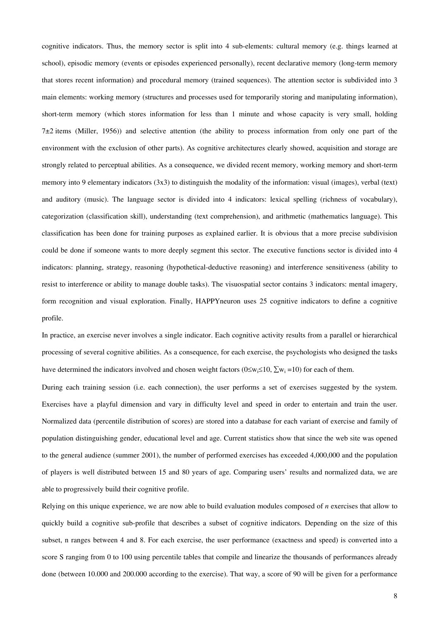cognitive indicators. Thus, the memory sector is split into 4 sub-elements: cultural memory (e.g. things learned at school), episodic memory (events or episodes experienced personally), recent declarative memory (long-term memory that stores recent information) and procedural memory (trained sequences). The attention sector is subdivided into 3 main elements: working memory (structures and processes used for temporarily storing and manipulating information), short-term memory (which stores information for less than 1 minute and whose capacity is very small, holding 7±2 items (Miller, 1956)) and selective attention (the ability to process information from only one part of the environment with the exclusion of other parts). As cognitive architectures clearly showed, acquisition and storage are strongly related to perceptual abilities. As a consequence, we divided recent memory, working memory and short-term memory into 9 elementary indicators (3x3) to distinguish the modality of the information: visual (images), verbal (text) and auditory (music). The language sector is divided into 4 indicators: lexical spelling (richness of vocabulary), categorization (classification skill), understanding (text comprehension), and arithmetic (mathematics language). This classification has been done for training purposes as explained earlier. It is obvious that a more precise subdivision could be done if someone wants to more deeply segment this sector. The executive functions sector is divided into 4 indicators: planning, strategy, reasoning (hypothetical-deductive reasoning) and interference sensitiveness (ability to resist to interference or ability to manage double tasks). The visuospatial sector contains 3 indicators: mental imagery, form recognition and visual exploration. Finally, HAPPYneuron uses 25 cognitive indicators to define a cognitive profile.

In practice, an exercise never involves a single indicator. Each cognitive activity results from a parallel or hierarchical processing of several cognitive abilities. As a consequence, for each exercise, the psychologists who designed the tasks have determined the indicators involved and chosen weight factors (0≤w<sub>i</sub>≤10, ∑w<sub>i</sub> =10) for each of them.

During each training session (i.e. each connection), the user performs a set of exercises suggested by the system. Exercises have a playful dimension and vary in difficulty level and speed in order to entertain and train the user. Normalized data (percentile distribution of scores) are stored into a database for each variant of exercise and family of population distinguishing gender, educational level and age. Current statistics show that since the web site was opened to the general audience (summer 2001), the number of performed exercises has exceeded 4,000,000 and the population of players is well distributed between 15 and 80 years of age. Comparing users' results and normalized data, we are able to progressively build their cognitive profile.

Relying on this unique experience, we are now able to build evaluation modules composed of *n* exercises that allow to quickly build a cognitive sub-profile that describes a subset of cognitive indicators. Depending on the size of this subset, n ranges between 4 and 8. For each exercise, the user performance (exactness and speed) is converted into a score S ranging from 0 to 100 using percentile tables that compile and linearize the thousands of performances already done (between 10.000 and 200.000 according to the exercise). That way, a score of 90 will be given for a performance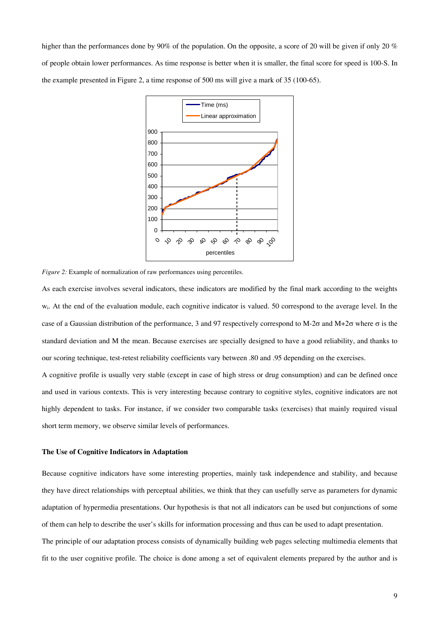higher than the performances done by 90% of the population. On the opposite, a score of 20 will be given if only 20 % of people obtain lower performances. As time response is better when it is smaller, the final score for speed is 100-S. In the example presented in Figure 2, a time response of 500 ms will give a mark of 35 (100-65).



*Figure 2:* Example of normalization of raw performances using percentiles.

As each exercise involves several indicators, these indicators are modified by the final mark according to the weights wi. At the end of the evaluation module, each cognitive indicator is valued. 50 correspond to the average level. In the case of a Gaussian distribution of the performance, 3 and 97 respectively correspond to M-2 $\sigma$  and M+2 $\sigma$  where  $\sigma$  is the standard deviation and M the mean. Because exercises are specially designed to have a good reliability, and thanks to our scoring technique, test-retest reliability coefficients vary between .80 and .95 depending on the exercises.

A cognitive profile is usually very stable (except in case of high stress or drug consumption) and can be defined once and used in various contexts. This is very interesting because contrary to cognitive styles, cognitive indicators are not highly dependent to tasks. For instance, if we consider two comparable tasks (exercises) that mainly required visual short term memory, we observe similar levels of performances.

#### **The Use of Cognitive Indicators in Adaptation**

Because cognitive indicators have some interesting properties, mainly task independence and stability, and because they have direct relationships with perceptual abilities, we think that they can usefully serve as parameters for dynamic adaptation of hypermedia presentations. Our hypothesis is that not all indicators can be used but conjunctions of some of them can help to describe the user's skills for information processing and thus can be used to adapt presentation.

The principle of our adaptation process consists of dynamically building web pages selecting multimedia elements that fit to the user cognitive profile. The choice is done among a set of equivalent elements prepared by the author and is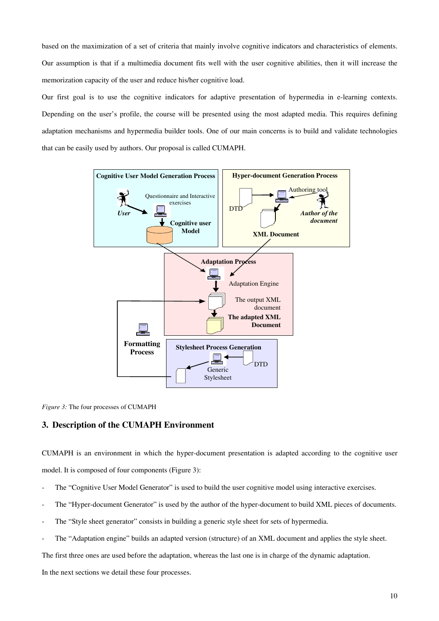based on the maximization of a set of criteria that mainly involve cognitive indicators and characteristics of elements. Our assumption is that if a multimedia document fits well with the user cognitive abilities, then it will increase the memorization capacity of the user and reduce his/her cognitive load.

Our first goal is to use the cognitive indicators for adaptive presentation of hypermedia in e-learning contexts. Depending on the user's profile, the course will be presented using the most adapted media. This requires defining adaptation mechanisms and hypermedia builder tools. One of our main concerns is to build and validate technologies that can be easily used by authors. Our proposal is called CUMAPH.



*Figure 3:* The four processes of CUMAPH

## **3. Description of the CUMAPH Environment**

CUMAPH is an environment in which the hyper-document presentation is adapted according to the cognitive user model. It is composed of four components (Figure 3):

- The "Cognitive User Model Generator" is used to build the user cognitive model using interactive exercises.
- The "Hyper-document Generator" is used by the author of the hyper-document to build XML pieces of documents.
- The "Style sheet generator" consists in building a generic style sheet for sets of hypermedia.
- The "Adaptation engine" builds an adapted version (structure) of an XML document and applies the style sheet.

The first three ones are used before the adaptation, whereas the last one is in charge of the dynamic adaptation.

In the next sections we detail these four processes.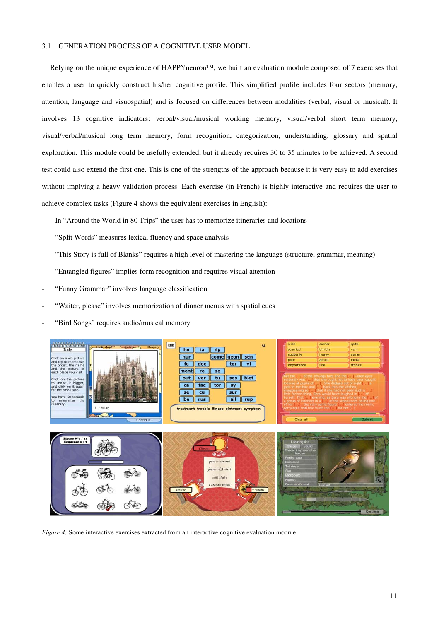### 3.1. GENERATION PROCESS OF A COGNITIVE USER MODEL

Relying on the unique experience of HAPPYneuron™, we built an evaluation module composed of 7 exercises that enables a user to quickly construct his/her cognitive profile. This simplified profile includes four sectors (memory, attention, language and visuospatial) and is focused on differences between modalities (verbal, visual or musical). It involves 13 cognitive indicators: verbal/visual/musical working memory, visual/verbal short term memory, visual/verbal/musical long term memory, form recognition, categorization, understanding, glossary and spatial exploration. This module could be usefully extended, but it already requires 30 to 35 minutes to be achieved. A second test could also extend the first one. This is one of the strengths of the approach because it is very easy to add exercises without implying a heavy validation process. Each exercise (in French) is highly interactive and requires the user to achieve complex tasks (Figure 4 shows the equivalent exercises in English):

- In "Around the World in 80 Trips" the user has to memorize itineraries and locations
- "Split Words" measures lexical fluency and space analysis
- "This Story is full of Blanks" requires a high level of mastering the language (structure, grammar, meaning)
- "Entangled figures" implies form recognition and requires visual attention
- "Funny Grammar" involves language classification
- "Waiter, please" involves memorization of dinner menus with spatial cues
- "Bird Songs" requires audio/musical memory



*Figure 4:* Some interactive exercises extracted from an interactive cognitive evaluation module.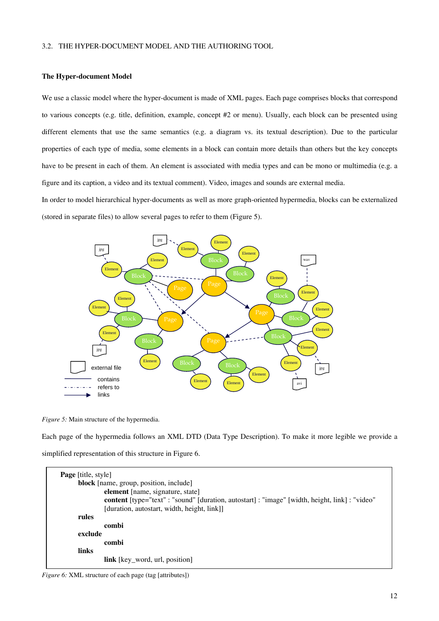### 3.2. THE HYPER-DOCUMENT MODEL AND THE AUTHORING TOOL

### **The Hyper-document Model**

We use a classic model where the hyper-document is made of XML pages. Each page comprises blocks that correspond to various concepts (e.g. title, definition, example, concept #2 or menu). Usually, each block can be presented using different elements that use the same semantics (e.g. a diagram vs. its textual description). Due to the particular properties of each type of media, some elements in a block can contain more details than others but the key concepts have to be present in each of them. An element is associated with media types and can be mono or multimedia (e.g. a figure and its caption, a video and its textual comment). Video, images and sounds are external media.

In order to model hierarchical hyper-documents as well as more graph-oriented hypermedia, blocks can be externalized (stored in separate files) to allow several pages to refer to them (Figure 5).



*Figure 5:* Main structure of the hypermedia.

Each page of the hypermedia follows an XML DTD (Data Type Description). To make it more legible we provide a simplified representation of this structure in Figure 6.

```
Page [title, style]
block [name, group, position, include] 
         element [name, signature, state] 
         content [type="text" : "sound" [duration, autostart] : "image" [width, height, link] : "video" 
         [duration, autostart, width, height, link]] 
rules 
         combi 
exclude 
         combi 
links 
         link [key_word, url, position]
```
#### *Figure 6:* XML structure of each page (tag [attributes])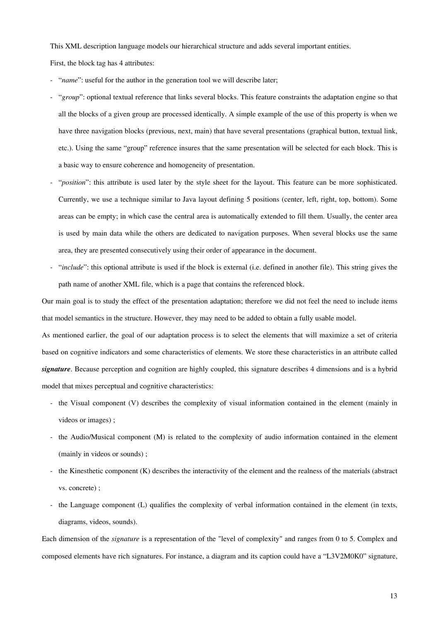This XML description language models our hierarchical structure and adds several important entities.

First, the block tag has 4 attributes:

- "*name*": useful for the author in the generation tool we will describe later;
- "*group*": optional textual reference that links several blocks. This feature constraints the adaptation engine so that all the blocks of a given group are processed identically. A simple example of the use of this property is when we have three navigation blocks (previous, next, main) that have several presentations (graphical button, textual link, etc.). Using the same "group" reference insures that the same presentation will be selected for each block. This is a basic way to ensure coherence and homogeneity of presentation.
- "*position*": this attribute is used later by the style sheet for the layout. This feature can be more sophisticated. Currently, we use a technique similar to Java layout defining 5 positions (center, left, right, top, bottom). Some areas can be empty; in which case the central area is automatically extended to fill them. Usually, the center area is used by main data while the others are dedicated to navigation purposes. When several blocks use the same area, they are presented consecutively using their order of appearance in the document.
- "*include*": this optional attribute is used if the block is external (i.e. defined in another file). This string gives the path name of another XML file, which is a page that contains the referenced block.

Our main goal is to study the effect of the presentation adaptation; therefore we did not feel the need to include items that model semantics in the structure. However, they may need to be added to obtain a fully usable model.

As mentioned earlier, the goal of our adaptation process is to select the elements that will maximize a set of criteria based on cognitive indicators and some characteristics of elements. We store these characteristics in an attribute called *signature*. Because perception and cognition are highly coupled, this signature describes 4 dimensions and is a hybrid model that mixes perceptual and cognitive characteristics:

- the Visual component (V) describes the complexity of visual information contained in the element (mainly in videos or images) ;
- the Audio/Musical component (M) is related to the complexity of audio information contained in the element (mainly in videos or sounds) ;
- the Kinesthetic component (K) describes the interactivity of the element and the realness of the materials (abstract vs. concrete) ;
- the Language component (L) qualifies the complexity of verbal information contained in the element (in texts, diagrams, videos, sounds).

Each dimension of the *signature* is a representation of the "level of complexity" and ranges from 0 to 5. Complex and composed elements have rich signatures. For instance, a diagram and its caption could have a "L3V2M0K0" signature,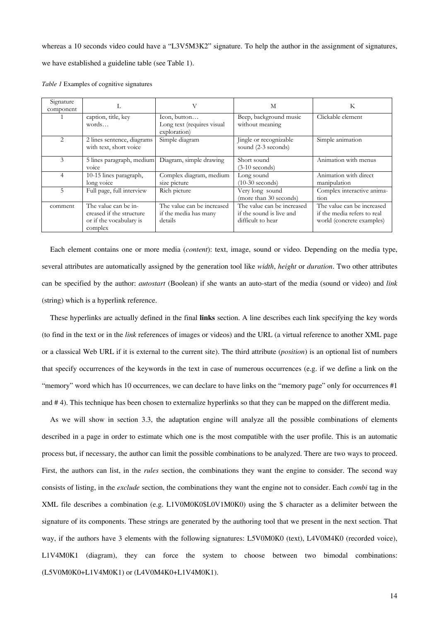whereas a 10 seconds video could have a "L3V5M3K2" signature. To help the author in the assignment of signatures, we have established a guideline table (see Table 1).

|  |  | <i>Table 1</i> Examples of cognitive signatures |
|--|--|-------------------------------------------------|
|  |  |                                                 |

| Signature<br>component        | L                                                                                      | V                                                              | M                                                                           | K                                                                                      |
|-------------------------------|----------------------------------------------------------------------------------------|----------------------------------------------------------------|-----------------------------------------------------------------------------|----------------------------------------------------------------------------------------|
|                               | caption, title, key<br>words                                                           | Icon, button<br>Long text (requires visual<br>exploration)     | Beep, background music<br>without meaning                                   | Clickable element                                                                      |
| $\mathfrak{D}_{\mathfrak{p}}$ | 2 lines sentence, diagrams<br>with text, short voice                                   | Simple diagram                                                 | Jingle or recognizable<br>sound (2-3 seconds)                               | Simple animation                                                                       |
| 3                             | 5 lines paragraph, medium   Diagram, simple drawing<br>voice                           |                                                                | Short sound<br>$(3-10$ seconds)                                             | Animation with menus                                                                   |
| 4                             | 10-15 lines paragraph,<br>long voice                                                   | Complex diagram, medium<br>size picture                        | Long sound<br>$(10-30$ seconds)                                             | Animation with direct<br>manipulation                                                  |
| 5                             | Full page, full interview                                                              | Rich picture                                                   | Very long sound<br>(more than 30 seconds)                                   | Complex interactive anima-<br>tion                                                     |
| comment                       | The value can be in-<br>creased if the structure<br>or if the vocabulary is<br>complex | The value can be increased<br>if the media has many<br>details | The value can be increased<br>if the sound is live and<br>difficult to hear | The value can be increased<br>if the media refers to real<br>world (concrete examples) |

Each element contains one or more media (*content*): text, image, sound or video. Depending on the media type, several attributes are automatically assigned by the generation tool like *width*, *height* or *duration*. Two other attributes can be specified by the author: *autostart* (Boolean) if she wants an auto-start of the media (sound or video) and *link* (string) which is a hyperlink reference.

These hyperlinks are actually defined in the final **links** section. A line describes each link specifying the key words (to find in the text or in the *link* references of images or videos) and the URL (a virtual reference to another XML page or a classical Web URL if it is external to the current site). The third attribute (*position*) is an optional list of numbers that specify occurrences of the keywords in the text in case of numerous occurrences (e.g. if we define a link on the "memory" word which has 10 occurrences, we can declare to have links on the "memory page" only for occurrences #1 and # 4). This technique has been chosen to externalize hyperlinks so that they can be mapped on the different media.

As we will show in section 3.3, the adaptation engine will analyze all the possible combinations of elements described in a page in order to estimate which one is the most compatible with the user profile. This is an automatic process but, if necessary, the author can limit the possible combinations to be analyzed. There are two ways to proceed. First, the authors can list, in the *rules* section, the combinations they want the engine to consider. The second way consists of listing, in the *exclude* section, the combinations they want the engine not to consider. Each *combi* tag in the XML file describes a combination (e.g. L1V0M0K0\$L0V1M0K0) using the \$ character as a delimiter between the signature of its components. These strings are generated by the authoring tool that we present in the next section. That way, if the authors have 3 elements with the following signatures: L5V0M0K0 (text), L4V0M4K0 (recorded voice), L1V4M0K1 (diagram), they can force the system to choose between two bimodal combinations: (L5V0M0K0+L1V4M0K1) or (L4V0M4K0+L1V4M0K1).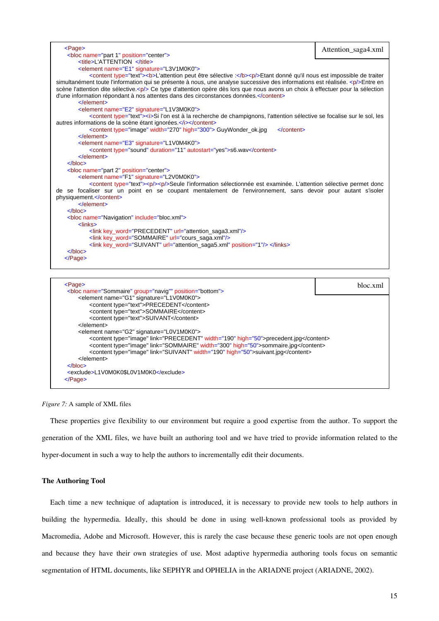| $<$ Page $>$<br><bo>bloc name="part 1" position="center"&gt;</bo>                                                                                                                            | Attention_saga4.xml |
|----------------------------------------------------------------------------------------------------------------------------------------------------------------------------------------------|---------------------|
| <title>L'ATTENTION </title>                                                                                                                                                                  |                     |
| <element name="E1" signature="L3V1M0K0"></element>                                                                                                                                           |                     |
| <content type="text"><b>L'attention peut être sélective :</b><p></p>&gt;<p></p>Etant donné qu'il nous est impossible de traiter</content>                                                    |                     |
| simultanément toute l'information qui se présente à nous, une analyse successive des informations est réalisée. <p></p> Entre en                                                             |                     |
| scène l'attention dite sélective. <p></p> Ce type d'attention opère dès lors que nous avons un choix à effectuer pour la sélection                                                           |                     |
| d'une information répondant à nos attentes dans des circonstances données.<br>$\le$ /element $>$                                                                                             |                     |
| <element name="E2" signature="L1V3M0K0"></element>                                                                                                                                           |                     |
| <content type="text"><i>Si l'on est à la recherche de champignons, l'attention sélective se focalise sur le sol, les</i></content>                                                           |                     |
| autres informations de la scène étant ignorées.                                                                                                                                              |                     |
| <content high="300" type="image" width="270"> GuyWonder_ok.jpg<br/><math>\alpha</math> content</content>                                                                                     |                     |
| $\le$ /element $\ge$                                                                                                                                                                         |                     |
| <element name="E3" signature="L1V0M4K0"></element>                                                                                                                                           |                     |
| <content autostart="yes" duration="11" type="sound">s6.way</content>                                                                                                                         |                     |
| $\le$ /element $\ge$                                                                                                                                                                         |                     |
| $<$ /bloc $>$                                                                                                                                                                                |                     |
| <br>bloc name="part 2" position="center">                                                                                                                                                    |                     |
| <element name="F1" signature="L2V0M0K0"><br/><content type="text"><p></p>&gt;<p></p>&gt;Seule l'information sélectionnée est examinée. L'attention sélective permet donc</content></element> |                     |
| de se focaliser sur un point en se coupant mentalement de l'environnement, sans devoir pour autant s'isoler                                                                                  |                     |
| physiquement.                                                                                                                                                                                |                     |
| $\le$ /element $\ge$                                                                                                                                                                         |                     |
| $\epsilon$ /bloc $\epsilon$                                                                                                                                                                  |                     |
| <br>bloc name="Navigation" include="bloc.xml">                                                                                                                                               |                     |
| $links$                                                                                                                                                                                      |                     |
| <link key_word="PRECEDENT" url="attention_saga3.xml"/>                                                                                                                                       |                     |
| <link key="" url="cours saga.xml" word="SOMMAIRE"/>                                                                                                                                          |                     |
| <link key_word="SUIVANT" position="1" url="attention_saga5.xml"/><br>$<$ /bloc>                                                                                                              |                     |
| $<$ /Page>                                                                                                                                                                                   |                     |
|                                                                                                                                                                                              |                     |

| $<$ Page $>$<br><bloc "="" group="navig" name="Sommaire" position="bottom"></bloc>   | bloc.xml |
|--------------------------------------------------------------------------------------|----------|
| <element name="G1" signature="L1V0M0K0"></element>                                   |          |
| <content type="text">PRECEDENT</content>                                             |          |
| <content type="text">SOMMAIRE</content>                                              |          |
| <content type="text">SUIVANT</content>                                               |          |
| $<$ /element $>$                                                                     |          |
| <element name="G2" signature="L0V1M0K0"></element>                                   |          |
| <content high="50" link="PRECEDENT" type="image" width="190">precedent.jpg</content> |          |
| <content high="50" link="SOMMAIRE" type="image" width="300">sommaire.jpg</content>   |          |
| <content high="50" link="SUIVANT" type="image" width="190">suivant.jpg</content>     |          |
| $<$ /element $>$                                                                     |          |
| $<$ /bloc $>$                                                                        |          |
| <exclude>L1V0M0K0\$L0V1M0K0</exclude>                                                |          |
| $\langle$ Page $\rangle$                                                             |          |
|                                                                                      |          |

*Figure 7:* A sample of XML files

These properties give flexibility to our environment but require a good expertise from the author. To support the generation of the XML files, we have built an authoring tool and we have tried to provide information related to the hyper-document in such a way to help the authors to incrementally edit their documents.

## **The Authoring Tool**

Each time a new technique of adaptation is introduced, it is necessary to provide new tools to help authors in building the hypermedia. Ideally, this should be done in using well-known professional tools as provided by Macromedia, Adobe and Microsoft. However, this is rarely the case because these generic tools are not open enough and because they have their own strategies of use. Most adaptive hypermedia authoring tools focus on semantic segmentation of HTML documents, like SEPHYR and OPHELIA in the ARIADNE project (ARIADNE, 2002).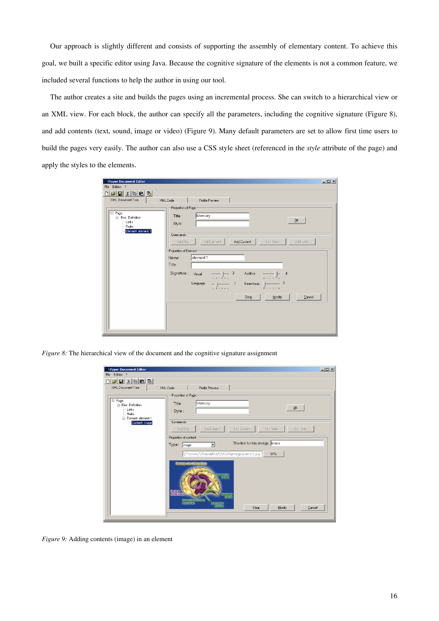Our approach is slightly different and consists of supporting the assembly of elementary content. To achieve this goal, we built a specific editor using Java. Because the cognitive signature of the elements is not a common feature, we included several functions to help the author in using our tool.

The author creates a site and builds the pages using an incremental process. She can switch to a hierarchical view or an XML view. For each block, the author can specify all the parameters, including the cognitive signature (Figure 8), and add contents (text, sound, image or video) (Figure 9). Many default parameters are set to allow first time users to build the pages very easily. The author can also use a CSS style sheet (referenced in the *style* attribute of the page) and apply the styles to the elements.

| <b>Hyper Document Editor</b>         |                                                                                                                                                                                                                                                                                                                                                                                                                                                                                                                           | $\Box$ D $\Box$ |
|--------------------------------------|---------------------------------------------------------------------------------------------------------------------------------------------------------------------------------------------------------------------------------------------------------------------------------------------------------------------------------------------------------------------------------------------------------------------------------------------------------------------------------------------------------------------------|-----------------|
| File Edition ?                       |                                                                                                                                                                                                                                                                                                                                                                                                                                                                                                                           |                 |
| $D \times  B  \times  B  \times  B $ |                                                                                                                                                                                                                                                                                                                                                                                                                                                                                                                           |                 |
| XML Document Tree                    | XML Code<br>Profile Preview                                                                                                                                                                                                                                                                                                                                                                                                                                                                                               |                 |
|                                      | Properties of Page:                                                                                                                                                                                                                                                                                                                                                                                                                                                                                                       |                 |
| E-Page<br>Bloc Definition            | Memory<br>Title:                                                                                                                                                                                                                                                                                                                                                                                                                                                                                                          |                 |
| -- Links<br>Rules                    | QK<br>Style:                                                                                                                                                                                                                                                                                                                                                                                                                                                                                                              |                 |
| Element element 1                    | Commands                                                                                                                                                                                                                                                                                                                                                                                                                                                                                                                  |                 |
|                                      | Add Links<br>Add Bloc<br>Add Element<br>Add Content<br>Add Rules                                                                                                                                                                                                                                                                                                                                                                                                                                                          |                 |
|                                      | Properties of Element                                                                                                                                                                                                                                                                                                                                                                                                                                                                                                     |                 |
|                                      | element 1<br>Name:                                                                                                                                                                                                                                                                                                                                                                                                                                                                                                        |                 |
|                                      | Title:                                                                                                                                                                                                                                                                                                                                                                                                                                                                                                                    |                 |
|                                      | Signature:<br>$\overline{\phantom{a}}$ $\overline{\phantom{a}}$ $\overline{\phantom{a}}$ $\overline{\phantom{a}}$ $\overline{\phantom{a}}$ $\overline{\phantom{a}}$ $\overline{\phantom{a}}$ $\overline{\phantom{a}}$ $\overline{\phantom{a}}$ $\overline{\phantom{a}}$ $\overline{\phantom{a}}$ $\overline{\phantom{a}}$ $\overline{\phantom{a}}$ $\overline{\phantom{a}}$ $\overline{\phantom{a}}$ $\overline{\phantom{a}}$ $\overline{\phantom{a}}$ $\overline{\phantom{a}}$ $\overline{\$<br>Auditive<br>Visual<br>ㅠㅠ |                 |
|                                      | Kinesthesic   <u>Daniel Band</u><br>Language<br>$\frac{1}{4}\sqrt{\frac{1}{1+\frac{1}{1+\frac{1}{1+\frac{1}{1+\frac{1}{1+\frac{1}{1+\frac{1}{1+\frac{1}{1+\frac{1}{1+\frac{1}{1+\frac{1}{1+\frac{1}{1+\frac{1}{1+\frac{1}{1+\frac{1}{1+\frac{1}{1+\frac{1}{1+\frac{1}{1+\frac{1}{1+\frac{1}{1+\frac{1}{1+\frac{1}{1+\frac{1}{1+\frac{1}{1+\frac{1}{1+\frac{1}{1+\frac{1}{1+\frac{1}{1+\frac{1}{1+\frac{1}{1+\frac{1}{1+\frac{1}{1+\frac{1}{1+\frac{1}{1+\frac{1}{1+\frac$<br>2.1111                                       |                 |
|                                      | Modify<br>Clear<br>Cancel                                                                                                                                                                                                                                                                                                                                                                                                                                                                                                 |                 |
|                                      |                                                                                                                                                                                                                                                                                                                                                                                                                                                                                                                           |                 |
|                                      |                                                                                                                                                                                                                                                                                                                                                                                                                                                                                                                           |                 |

*Figure 8:* The hierarchical view of the document and the cognitive signature assignment

| Hyper Document Editor                                                                                                                                                                                                                                                                                                                                                                                                                                                                                                  | $\boxed{\square\square\square}$ |
|------------------------------------------------------------------------------------------------------------------------------------------------------------------------------------------------------------------------------------------------------------------------------------------------------------------------------------------------------------------------------------------------------------------------------------------------------------------------------------------------------------------------|---------------------------------|
| Edition ?<br>File                                                                                                                                                                                                                                                                                                                                                                                                                                                                                                      |                                 |
| $D$ $\approx$ $B$ $\approx$ $B$ $\approx$                                                                                                                                                                                                                                                                                                                                                                                                                                                                              |                                 |
|                                                                                                                                                                                                                                                                                                                                                                                                                                                                                                                        |                                 |
| XML Document Tree<br>Profile Preview<br>XML Code<br>Properties of Page<br>⊟- Page<br>Memory<br>Title:<br>Bloc Definition<br>$\overline{\mathsf{D}}\mathsf{K}$<br>Links<br>Style:<br>Rules<br>Element element 1<br>Commands<br>Content image<br>Add Element<br>Add Bloc<br>Add Content<br>Add Rules<br>Add Links<br>Properties of content<br>The link for this image brain<br>Type:   image<br>\\Ttic-stw7\Travail\hal\SAGA\image\cervo3.jpg<br><b>URL</b><br><b>Stockage des informations</b><br>Informations<br>Notes |                                 |
| <b>Circuit de</b><br>mémorisation<br><b>Information</b><br><b>GRIFTEE</b><br>Informations of activas<br><b>БЕСПАРАТИ</b><br><b>Informations</b><br>and filmers<br>Modify<br>Cancel<br>Clear                                                                                                                                                                                                                                                                                                                            |                                 |

*Figure 9:* Adding contents (image) in an element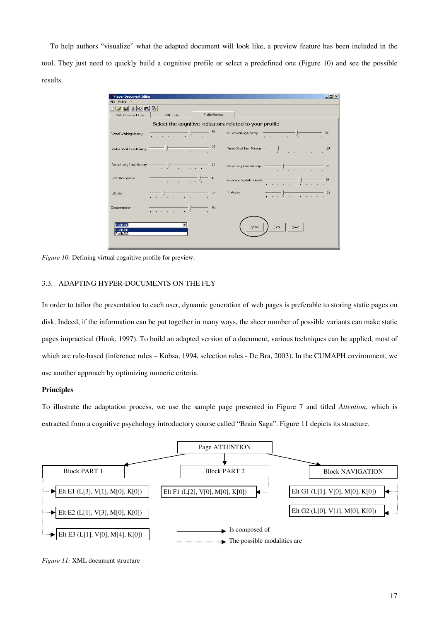To help authors "visualize" what the adapted document will look like, a preview feature has been included in the tool. They just need to quickly build a cognitive profile or select a predefined one (Figure 10) and see the possible results.

| Hyper Document Editor                  |                                                                                                                                                                                                                                                                                                                                                                                                                                      |                 |                       |                                                                                                                                                                                                                                | $\Box$ DI $\times$ |
|----------------------------------------|--------------------------------------------------------------------------------------------------------------------------------------------------------------------------------------------------------------------------------------------------------------------------------------------------------------------------------------------------------------------------------------------------------------------------------------|-----------------|-----------------------|--------------------------------------------------------------------------------------------------------------------------------------------------------------------------------------------------------------------------------|--------------------|
| File Edition ?                         |                                                                                                                                                                                                                                                                                                                                                                                                                                      |                 |                       |                                                                                                                                                                                                                                |                    |
| deid * B & B                           |                                                                                                                                                                                                                                                                                                                                                                                                                                      |                 |                       |                                                                                                                                                                                                                                |                    |
| XML Document Tree                      | XML Code                                                                                                                                                                                                                                                                                                                                                                                                                             | Profile Preview |                       |                                                                                                                                                                                                                                |                    |
|                                        | Select the cognitive indicators related to your profile                                                                                                                                                                                                                                                                                                                                                                              |                 |                       |                                                                                                                                                                                                                                |                    |
| Verbal Working Memory                  | $\begin{array}{ccccccccccccc} \textbf{0} & \textbf{0} & \textbf{0} & \textbf{0} & \textbf{0} & \textbf{0} & \textbf{0} & \textbf{0} & \textbf{0} & \textbf{0} & \textbf{0} & \textbf{0} & \textbf{0} & \textbf{0} & \textbf{0} & \textbf{0} & \textbf{0} & \textbf{0} & \textbf{0} & \textbf{0} & \textbf{0} & \textbf{0} & \textbf{0} & \textbf{0} & \textbf{0} & \textbf{0} & \textbf{0} & \textbf{0} & \textbf{0} & \textbf{0} &$ |                 | Visual Working Memory |                                                                                                                                                                                                                                |                    |
|                                        | Verbal Short Term Memory <b>Contained by Contact Contact Contact Contact Contact Contact Contact Contact Contact Contact Contact Contact Contact Contact Contact Contact Contact Contact Contact Contact Contact Contact Contact</b>                                                                                                                                                                                                 |                 |                       | Visual Short Term Memory - 1999 - 1999 - 1999 - 1999 - 1999 - 1999 - 1999 - 1999 - 1999 - 1999 - 1999 - 1999 - 1999 - 1999 - 1999 - 1999 - 1999 - 1999 - 1999 - 1999 - 1999 - 1999 - 1999 - 1999 - 1999 - 1999 - 1999 - 1999 - |                    |
|                                        | Verbal Long Term Memory - Processing Contract Contract Contract Contract Contract Contract Contract Contract Contract Contract Contract Contract Contract Contract Contract Contract Contract Contract Contract Contract Contr                                                                                                                                                                                                       |                 |                       | Visual Long Term Memory - 29                                                                                                                                                                                                   |                    |
| Form Recognition                       | $\frac{1}{2}$ as $\frac{1}{2}$ as $\frac{1}{2}$ as $\frac{1}{2}$ as $\frac{1}{2}$ as $\frac{1}{2}$ as $\frac{1}{2}$ as $\frac{1}{2}$ as $\frac{1}{2}$ as $\frac{1}{2}$ as $\frac{1}{2}$ as $\frac{1}{2}$ as $\frac{1}{2}$ as $\frac{1}{2}$ as $\frac{1}{2}$ as $\frac{1}{2}$ as $\frac{1}{2}$ as                                                                                                                                     |                 |                       | Visual and Spatial Exploratic - The Common Common S9                                                                                                                                                                           |                    |
| Glossary                               |                                                                                                                                                                                                                                                                                                                                                                                                                                      |                 | Category              |                                                                                                                                                                                                                                |                    |
| Comprehension                          | $\overline{1}$ 69                                                                                                                                                                                                                                                                                                                                                                                                                    |                 |                       |                                                                                                                                                                                                                                |                    |
| Profile181<br>Profile181<br>Profile268 |                                                                                                                                                                                                                                                                                                                                                                                                                                      |                 | Show                  | Clear<br>Save                                                                                                                                                                                                                  |                    |

*Figure 10:* Defining virtual cognitive profile for preview.

### 3.3. ADAPTING HYPER-DOCUMENTS ON THE FLY

In order to tailor the presentation to each user, dynamic generation of web pages is preferable to storing static pages on disk. Indeed, if the information can be put together in many ways, the sheer number of possible variants can make static pages impractical (Hook, 1997). To build an adapted version of a document, various techniques can be applied, most of which are rule-based (inference rules – Kobsa, 1994, selection rules - De Bra, 2003). In the CUMAPH environment, we use another approach by optimizing numeric criteria.

### **Principles**

To illustrate the adaptation process, we use the sample page presented in Figure 7 and titled *Attention*, which is extracted from a cognitive psychology introductory course called "Brain Saga". Figure 11 depicts its structure.



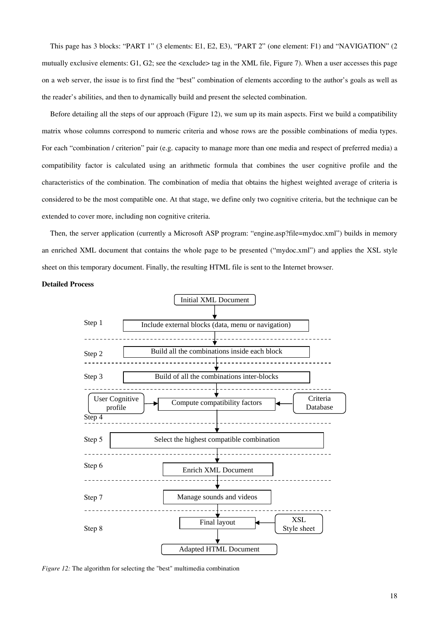This page has 3 blocks: "PART 1" (3 elements: E1, E2, E3), "PART 2" (one element: F1) and "NAVIGATION" (2 mutually exclusive elements: G1, G2; see the <exclude> tag in the XML file, Figure 7). When a user accesses this page on a web server, the issue is to first find the "best" combination of elements according to the author's goals as well as the reader's abilities, and then to dynamically build and present the selected combination.

Before detailing all the steps of our approach (Figure 12), we sum up its main aspects. First we build a compatibility matrix whose columns correspond to numeric criteria and whose rows are the possible combinations of media types. For each "combination / criterion" pair (e.g. capacity to manage more than one media and respect of preferred media) a compatibility factor is calculated using an arithmetic formula that combines the user cognitive profile and the characteristics of the combination. The combination of media that obtains the highest weighted average of criteria is considered to be the most compatible one. At that stage, we define only two cognitive criteria, but the technique can be extended to cover more, including non cognitive criteria.

Then, the server application (currently a Microsoft ASP program: "engine.asp?file=mydoc.xml") builds in memory an enriched XML document that contains the whole page to be presented ("mydoc.xml") and applies the XSL style sheet on this temporary document. Finally, the resulting HTML file is sent to the Internet browser.



**Detailed Process** 

*Figure 12:* The algorithm for selecting the "best" multimedia combination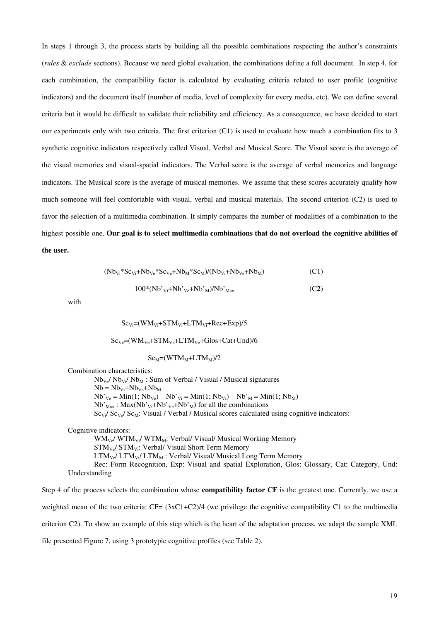In steps 1 through 3, the process starts by building all the possible combinations respecting the author's constraints (*rules* & *exclude* sections). Because we need global evaluation, the combinations define a full document. In step 4, for each combination, the compatibility factor is calculated by evaluating criteria related to user profile (cognitive indicators) and the document itself (number of media, level of complexity for every media, etc). We can define several criteria but it would be difficult to validate their reliability and efficiency. As a consequence, we have decided to start our experiments only with two criteria. The first criterion (C1) is used to evaluate how much a combination fits to 3 synthetic cognitive indicators respectively called Visual, Verbal and Musical Score. The Visual score is the average of the visual memories and visual-spatial indicators. The Verbal score is the average of verbal memories and language indicators. The Musical score is the average of musical memories. We assume that these scores accurately qualify how much someone will feel comfortable with visual, verbal and musical materials. The second criterion (C2) is used to favor the selection of a multimedia combination. It simply compares the number of modalities of a combination to the highest possible one. **Our goal is to select multimedia combinations that do not overload the cognitive abilities of the user.**

$$
(NbVi*ScVi+NbVe*ScVe+NbM*ScM)/(NbVi+NbVe+NbM)
$$
 (C1)

$$
100*(Nb'_{Vi}+Nb'_{Ve}+Nb'M)/Nb'_{Max}
$$
 (C2)

with

$$
Sc_{Vi} = (WM_{Vi} + STM_{Vi} + LTM_{Vi} + Rec + Exp)/5
$$

### $Sc_{Ve} = (WM_{Ve} + STM_{Ve} + LTM_{Ve} + Glos + Cat + Und)/6$

#### $Sc_M = (WTM_M + LTM_M)/2$

Combination characteristics:  $Nb_{Ve}/Nb_{Vi}/Nb_M$ : Sum of Verbal / Visual / Musical signatures  $Nb = Nb<sub>Vi</sub>+Nb<sub>Ve</sub>+Nb<sub>M</sub>$  $Nb'_{Ve} = Min(1; Nb_{Ve})$  Nb'<sub>Vi</sub> = Min(1; Nb<sub>Vi</sub>) Nb'<sub>M</sub> = Min(1; Nb<sub>M</sub>)  $Nb'_{\text{Max}}$ : Max $(Nb'_{\text{Vi}}+Nb'_{\text{Ve}}+Nb'_{\text{M}})$  for all the combinations  $S_{\text{Cyl}}/S_{\text{Cyl}}$  Sc<sub>M</sub>: Visual / Verbal / Musical scores calculated using cognitive indicators:

Cognitive indicators:  $WM_{Vc}/WTM_{Vi}/WTM_{Mi}$ : Verbal/ Visual/ Musical Working Memory STM<sub>Ve</sub>/ STM<sub>Vi</sub>: Verbal/ Visual Short Term Memory  $LTM_{Vc}/LTM_{Vi}/LTM_M$ : Verbal/ Visual/ Musical Long Term Memory Rec: Form Recognition, Exp: Visual and spatial Exploration, Glos: Glossary, Cat: Category, Und: Understanding

Step 4 of the process selects the combination whose **compatibility factor CF** is the greatest one. Currently, we use a weighted mean of the two criteria:  $CF=(3xC1+C2)/4$  (we privilege the cognitive compatibility C1 to the multimedia criterion C2). To show an example of this step which is the heart of the adaptation process, we adapt the sample XML file presented Figure 7, using 3 prototypic cognitive profiles (see Table 2).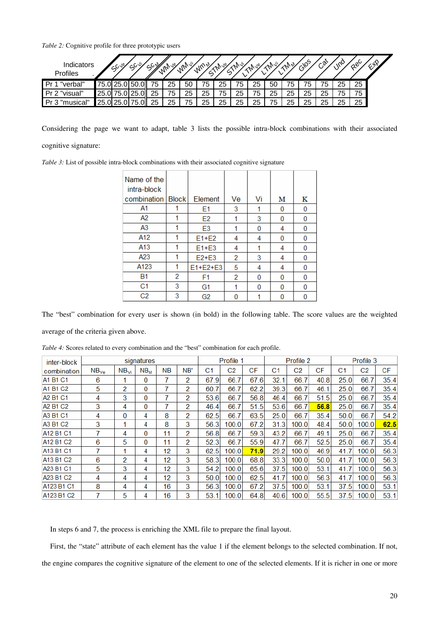*Table 2:* Cognitive profile for three prototypic users

| Indicators<br>Profiles |     | $C^{C\vee^{\otimes}}$<br>ت | $\sim$ $c^{C^{1/2}}$ | cov | $M^{N^{1/8}}$ | $\sim v_{\rm 100}$ | <b>Mural</b><br>c | <b>ALLIE</b><br>כי | $\Lambda^{M \vee \vee}$ | <b>NVO</b> | $M_{\rm V}$ | <b>VIII</b> | Glos | $\sim 2^{\circ}$ | ∿، | $2e^{U}$ | οΨ |
|------------------------|-----|----------------------------|----------------------|-----|---------------|--------------------|-------------------|--------------------|-------------------------|------------|-------------|-------------|------|------------------|----|----------|----|
| verbal"<br>Рr          |     | 25.0.                      | 0150.0II             | 75  | 25            | 50                 | ′5                | 25                 | 75                      | 25         | 50          | J           | ں ،  | 75               | 25 | 25       |    |
| visual"                |     |                            | 25.0                 | 25  | 75            | 25                 | 25                | 75                 | 25                      | 75         | 25          | ے           | 25   | 25               | 75 | 75       |    |
| musical"<br>Pr         | 25. |                            | 75<br>ΟI             | 25  | 25            | 75                 | 25                | 25                 | 25                      | 25         | 75          | nr.         | 25   | 25               | 25 | 25       |    |

Considering the page we want to adapt, table 3 lists the possible intra-block combinations with their associated

cognitive signature:

*Table 3:* List of possible intra-block combinations with their associated cognitive signature

| Name of the<br>intra-block<br>combination | <b>Block</b> | Element        | Ve | Vi | м | K |
|-------------------------------------------|--------------|----------------|----|----|---|---|
| A1                                        |              | E1             | 3  |    | 0 | 0 |
| A2                                        |              |                |    | 3  | 0 | 0 |
|                                           |              | E <sub>2</sub> |    |    |   |   |
| A3                                        | 1            | E <sub>3</sub> |    | 0  | 4 | 0 |
| A12                                       |              | $E1+E2$        | 4  | 4  | O | 0 |
| A13                                       | 1            | $E1+E3$        | 4  |    | 4 | 0 |
| A23                                       |              | $E2+E3$        | 2  | 3  | 4 | 0 |
| A123                                      | 1            | $E1+E2+E3$     | 5  | 4  | 4 | 0 |
| <b>B1</b>                                 | 2            | F1             | 2  | 0  | 0 | 0 |
| C <sub>1</sub>                            | 3            | G <sub>1</sub> |    | 0  | O | 0 |
| C <sub>2</sub>                            | 3            | G2             | n  |    |   | 0 |

The "best" combination for every user is shown (in bold) in the following table. The score values are the weighted average of the criteria given above.

| inter-block |                  |                  | signatures      |     |     |      | Profile 1      |      |      | Profile 2      |      |                | Profile 3      |      |
|-------------|------------------|------------------|-----------------|-----|-----|------|----------------|------|------|----------------|------|----------------|----------------|------|
| combination | NB <sub>Ve</sub> | NB <sub>Vi</sub> | NB <sub>M</sub> | NB. | NB' | C1   | C <sub>2</sub> | CF   | C1   | C <sub>2</sub> | CF   | C <sub>1</sub> | C <sub>2</sub> | CF   |
| A1 B1 C1    | 6                |                  | 0               | 7   | 2   | 67.9 | 66.7           | 67.6 | 32.1 | 66.7           | 40.8 | 25.0           | 66.7           | 35.4 |
| A1 B1 C2    | 5                | 2                | 0               | 7   | 2   | 60.7 | 66.7           | 62.2 | 39.3 | 66.7           | 46.1 | 25.0           | 66.7           | 35.4 |
| A2 B1 C1    | 4                | 3                | 0               | 7   | 2   | 53.6 | 66.7           | 56.8 | 46.4 | 66.7           | 51.5 | 25.0           | 66.7           | 35.4 |
| A2 B1 C2    | 3                | 4                | $\Omega$        | 7   | 2   | 46.4 | 66.7           | 51.5 | 53.6 | 66.7           | 56.8 | 25.0           | 66.7           | 35.4 |
| A3 B1 C1    | 4                | 0                | 4               | 8   | 2   | 62.5 | 66.7           | 63.5 | 25.0 | 66.7           | 35.4 | 50.0           | 66.7           | 54.2 |
| A3 B1 C2    | 3                |                  | 4               | 8   | 3   | 56.3 | 100.0          | 67.2 | 31.3 | 100.0          | 48.4 | 50.0           | 100.0          | 62.5 |
| A12 B1 C1   |                  | 4                | $\Omega$        | 11  | 2   | 56.8 | 66.7           | 59.3 | 43.2 | 66.7           | 49.1 | 25.0           | 66.7           | 35.4 |
| A12 B1 C2   | 6                | 5                | 0               | 11  | 2   | 52.3 | 66.7           | 55.9 | 47.7 | 66.7           | 52.5 | 25.0           | 66.7           | 35.4 |
| A13 B1 C1   | 7                | 4                | 4               | 12  | 3   | 62.5 | 100.0          | 71.9 | 29.2 | 100.0          | 46.9 | 41.7           | 100.0          | 56.3 |
| A13 B1 C2   | 6                | 2                | 4               | 12  | 3   | 58.3 | 100.0          | 68.8 | 33.3 | 100.0          | 50.0 | 41.7           | 100.0          | 56.3 |
| A23 B1 C1   | 5                | 3                | 4               | 12  | 3   | 54.2 | 100.0          | 65.6 | 37.5 | 100.0          | 53.1 | 41.7           | 100.0          | 56.3 |
| A23 B1 C2   | 4                | 4                | 4               | 12  | 3   | 50.0 | 100.0          | 62.5 | 41.7 | 100.0          | 56.3 | 41.7           | 100.0          | 56.3 |
| A123 B1 C1  | 8                | 4                | 4               | 16  | 3   | 56.3 | 100.0          | 67.2 | 37.5 | 100.0          | 53.1 | 37.5           | 100.0          | 53.1 |
| A123 B1 C2  |                  | 5                | 4               | 16  | 3   | 53.1 | 100.0          | 64.8 | 40.6 | 100.0          | 55.5 | 37.5           | 100.0          | 53.1 |

*Table 4:* Scores related to every combination and the "best" combination for each profile.

In steps 6 and 7, the process is enriching the XML file to prepare the final layout.

First, the "state" attribute of each element has the value 1 if the element belongs to the selected combination. If not, the engine compares the cognitive signature of the element to one of the selected elements. If it is richer in one or more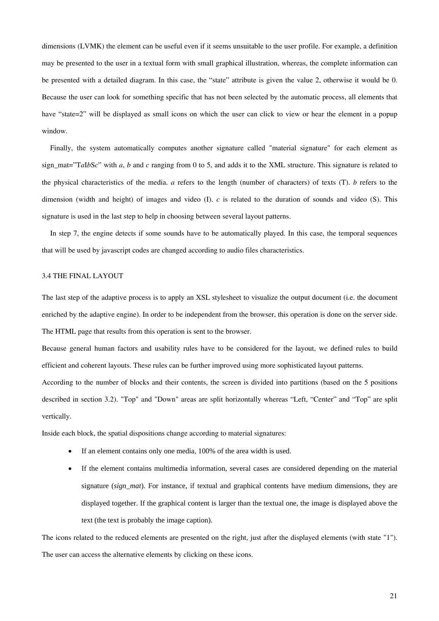dimensions (LVMK) the element can be useful even if it seems unsuitable to the user profile. For example, a definition may be presented to the user in a textual form with small graphical illustration, whereas, the complete information can be presented with a detailed diagram. In this case, the "state" attribute is given the value 2, otherwise it would be 0. Because the user can look for something specific that has not been selected by the automatic process, all elements that have "state=2" will be displayed as small icons on which the user can click to view or hear the element in a popup window.

Finally, the system automatically computes another signature called "material signature" for each element as sign\_mat="T*a*I*b*S*c*" with *a*, *b* and *c* ranging from 0 to 5, and adds it to the XML structure. This signature is related to the physical characteristics of the media. *a* refers to the length (number of characters) of texts (T). *b* refers to the dimension (width and height) of images and video (I). *c* is related to the duration of sounds and video (S). This signature is used in the last step to help in choosing between several layout patterns.

In step 7, the engine detects if some sounds have to be automatically played. In this case, the temporal sequences that will be used by javascript codes are changed according to audio files characteristics.

### 3.4 THE FINAL LAYOUT

The last step of the adaptive process is to apply an XSL stylesheet to visualize the output document (i.e. the document enriched by the adaptive engine). In order to be independent from the browser, this operation is done on the server side. The HTML page that results from this operation is sent to the browser.

Because general human factors and usability rules have to be considered for the layout, we defined rules to build efficient and coherent layouts. These rules can be further improved using more sophisticated layout patterns.

According to the number of blocks and their contents, the screen is divided into partitions (based on the 5 positions described in section 3.2). "Top" and "Down" areas are split horizontally whereas "Left, "Center" and "Top" are split vertically.

Inside each block, the spatial dispositions change according to material signatures:

- If an element contains only one media,  $100\%$  of the area width is used.
- If the element contains multimedia information, several cases are considered depending on the material signature (*sign\_mat*). For instance, if textual and graphical contents have medium dimensions, they are displayed together. If the graphical content is larger than the textual one, the image is displayed above the text (the text is probably the image caption).

The icons related to the reduced elements are presented on the right, just after the displayed elements (with state "1"). The user can access the alternative elements by clicking on these icons.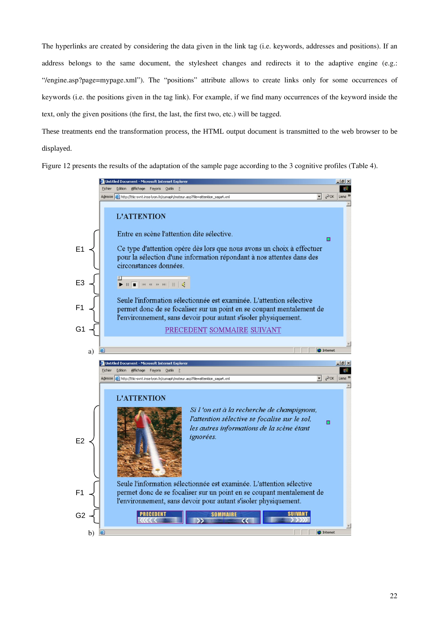The hyperlinks are created by considering the data given in the link tag (i.e. keywords, addresses and positions). If an address belongs to the same document, the stylesheet changes and redirects it to the adaptive engine (e.g.: "/engine.asp?page=mypage.xml"). The "positions" attribute allows to create links only for some occurrences of keywords (i.e. the positions given in the tag link). For example, if we find many occurrences of the keyword inside the text, only the given positions (the first, the last, the first two, etc.) will be tagged.

These treatments end the transformation process, the HTML output document is transmitted to the web browser to be displayed.

Figure 12 presents the results of the adaptation of the sample page according to the 3 cognitive profiles (Table 4).

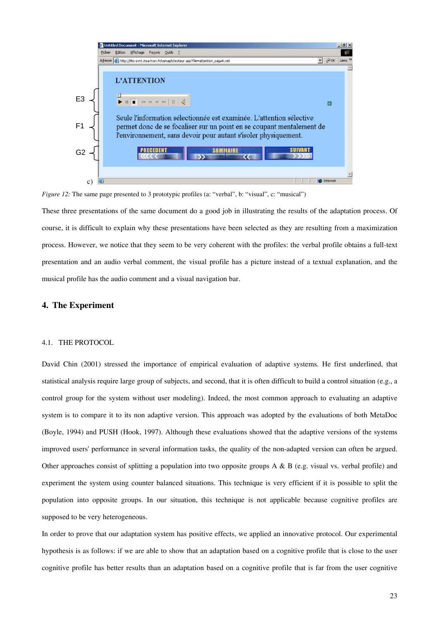

*Figure 12:* The same page presented to 3 prototypic profiles (a: "verbal", b: "visual", c: "musical")

These three presentations of the same document do a good job in illustrating the results of the adaptation process. Of course, it is difficult to explain why these presentations have been selected as they are resulting from a maximization process. However, we notice that they seem to be very coherent with the profiles: the verbal profile obtains a full-text presentation and an audio verbal comment, the visual profile has a picture instead of a textual explanation, and the musical profile has the audio comment and a visual navigation bar.

## **4. The Experiment**

### 4.1. THE PROTOCOL

David Chin (2001) stressed the importance of empirical evaluation of adaptive systems. He first underlined, that statistical analysis require large group of subjects, and second, that it is often difficult to build a control situation (e.g., a control group for the system without user modeling). Indeed, the most common approach to evaluating an adaptive system is to compare it to its non adaptive version. This approach was adopted by the evaluations of both MetaDoc (Boyle, 1994) and PUSH (Hook, 1997). Although these evaluations showed that the adaptive versions of the systems improved users' performance in several information tasks, the quality of the non-adapted version can often be argued. Other approaches consist of splitting a population into two opposite groups A & B (e.g. visual vs. verbal profile) and experiment the system using counter balanced situations. This technique is very efficient if it is possible to split the population into opposite groups. In our situation, this technique is not applicable because cognitive profiles are supposed to be very heterogeneous.

In order to prove that our adaptation system has positive effects, we applied an innovative protocol. Our experimental hypothesis is as follows: if we are able to show that an adaptation based on a cognitive profile that is close to the user cognitive profile has better results than an adaptation based on a cognitive profile that is far from the user cognitive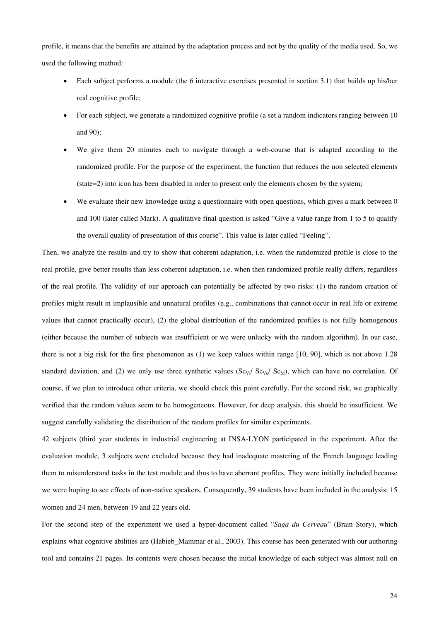profile, it means that the benefits are attained by the adaptation process and not by the quality of the media used. So, we used the following method:

- Each subject performs a module (the 6 interactive exercises presented in section 3.1) that builds up his/her real cognitive profile;
- For each subject, we generate a randomized cognitive profile (a set a random indicators ranging between 10 and 90);
- We give them 20 minutes each to navigate through a web-course that is adapted according to the randomized profile. For the purpose of the experiment, the function that reduces the non selected elements (state=2) into icon has been disabled in order to present only the elements chosen by the system;
- We evaluate their new knowledge using a questionnaire with open questions, which gives a mark between 0 and 100 (later called Mark). A qualitative final question is asked "Give a value range from 1 to 5 to qualify the overall quality of presentation of this course". This value is later called "Feeling".

Then, we analyze the results and try to show that coherent adaptation, i.e. when the randomized profile is close to the real profile, give better results than less coherent adaptation, i.e. when then randomized profile really differs, regardless of the real profile. The validity of our approach can potentially be affected by two risks: (1) the random creation of profiles might result in implausible and unnatural profiles (e.g., combinations that cannot occur in real life or extreme values that cannot practically occur), (2) the global distribution of the randomized profiles is not fully homogenous (either because the number of subjects was insufficient or we were unlucky with the random algorithm). In our case, there is not a big risk for the first phenomenon as (1) we keep values within range [10, 90], which is not above 1.28 standard deviation, and (2) we only use three synthetic values ( $Sc_{Vi}$ /  $Sc_{V}$ ,  $Sc_{M}$ ), which can have no correlation. Of course, if we plan to introduce other criteria, we should check this point carefully. For the second risk, we graphically verified that the random values seem to be homogeneous. However, for deep analysis, this should be insufficient. We suggest carefully validating the distribution of the random profiles for similar experiments.

42 subjects (third year students in industrial engineering at INSA-LYON participated in the experiment. After the evaluation module, 3 subjects were excluded because they had inadequate mastering of the French language leading them to misunderstand tasks in the test module and thus to have aberrant profiles. They were initially included because we were hoping to see effects of non-native speakers. Consequently, 39 students have been included in the analysis: 15 women and 24 men, between 19 and 22 years old.

For the second step of the experiment we used a hyper-document called "*Saga du Cerveau*" (Brain Story), which explains what cognitive abilities are (Habieb\_Mammar et al., 2003). This course has been generated with our authoring tool and contains 21 pages. Its contents were chosen because the initial knowledge of each subject was almost null on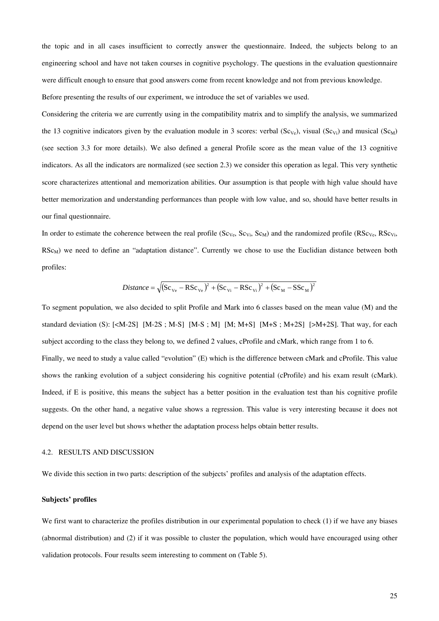the topic and in all cases insufficient to correctly answer the questionnaire. Indeed, the subjects belong to an engineering school and have not taken courses in cognitive psychology. The questions in the evaluation questionnaire were difficult enough to ensure that good answers come from recent knowledge and not from previous knowledge. Before presenting the results of our experiment, we introduce the set of variables we used.

Considering the criteria we are currently using in the compatibility matrix and to simplify the analysis, we summarized the 13 cognitive indicators given by the evaluation module in 3 scores: verbal  $(Sc_{Ve})$ , visual  $(Sc_{Vi})$  and musical  $(Sc_M)$ (see section 3.3 for more details). We also defined a general Profile score as the mean value of the 13 cognitive indicators. As all the indicators are normalized (see section 2.3) we consider this operation as legal. This very synthetic score characterizes attentional and memorization abilities. Our assumption is that people with high value should have better memorization and understanding performances than people with low value, and so, should have better results in our final questionnaire.

In order to estimate the coherence between the real profile  $(Sc_{V_e}, Sc_{Vi}, Sc_M)$  and the randomized profile  $(RSc_{Ve}, RSc_{Vi},$  $RSC_M$ ) we need to define an "adaptation distance". Currently we chose to use the Euclidian distance between both profiles:

$$
Distance = \sqrt{(Sc_{\text{V}_e} - RSc_{\text{V}_e})^2 + (Sc_{\text{V}_i} - RSc_{\text{V}_i})^2 + (Sc_{\text{M}} - SSc_{\text{M}})^2}
$$

To segment population, we also decided to split Profile and Mark into 6 classes based on the mean value (M) and the standard deviation  $(S)$ :  $[\< M-2S]$  [M-2S; M-S] [M-S; M] [M; M+S] [M+S; M+2S] [>M+2S]. That way, for each subject according to the class they belong to, we defined 2 values, cProfile and cMark, which range from 1 to 6. Finally, we need to study a value called "evolution" (E) which is the difference between cMark and cProfile. This value shows the ranking evolution of a subject considering his cognitive potential (cProfile) and his exam result (cMark). Indeed, if E is positive, this means the subject has a better position in the evaluation test than his cognitive profile suggests. On the other hand, a negative value shows a regression. This value is very interesting because it does not depend on the user level but shows whether the adaptation process helps obtain better results.

### 4.2. RESULTS AND DISCUSSION

We divide this section in two parts: description of the subjects' profiles and analysis of the adaptation effects.

### **Subjects' profiles**

We first want to characterize the profiles distribution in our experimental population to check (1) if we have any biases (abnormal distribution) and (2) if it was possible to cluster the population, which would have encouraged using other validation protocols. Four results seem interesting to comment on (Table 5).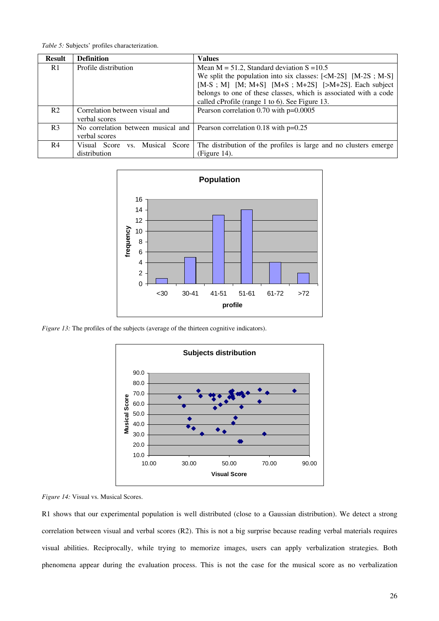*Table 5:* Subjects' profiles characterization.

| <b>Result</b>  | <b>Definition</b>                  | <b>Values</b>                                                                        |
|----------------|------------------------------------|--------------------------------------------------------------------------------------|
| R1             | Profile distribution               | Mean $M = 51.2$ , Standard deviation S = 10.5                                        |
|                |                                    | We split the population into six classes: [ <m-2s] [m-2s;="" m-s]<="" td=""></m-2s]> |
|                |                                    | [M-S; M] [M; M+S] $[M+S; M+2S]$ [>M+2S]. Each subject                                |
|                |                                    | belongs to one of these classes, which is associated with a code                     |
|                |                                    | called cProfile (range 1 to 6). See Figure 13.                                       |
| R2             | Correlation between visual and     | Pearson correlation $0.70$ with $p=0.0005$                                           |
|                | verbal scores                      |                                                                                      |
| R <sub>3</sub> | No correlation between musical and | Pearson correlation $0.18$ with $p=0.25$                                             |
|                | verbal scores                      |                                                                                      |
| R4             | Visual Score vs. Musical Score     | The distribution of the profiles is large and no clusters emerge                     |
|                | distribution                       | $(Figure 14)$ .                                                                      |



*Figure 13:* The profiles of the subjects (average of the thirteen cognitive indicators).



*Figure 14:* Visual vs. Musical Scores.

R1 shows that our experimental population is well distributed (close to a Gaussian distribution). We detect a strong correlation between visual and verbal scores (R2). This is not a big surprise because reading verbal materials requires visual abilities. Reciprocally, while trying to memorize images, users can apply verbalization strategies. Both phenomena appear during the evaluation process. This is not the case for the musical score as no verbalization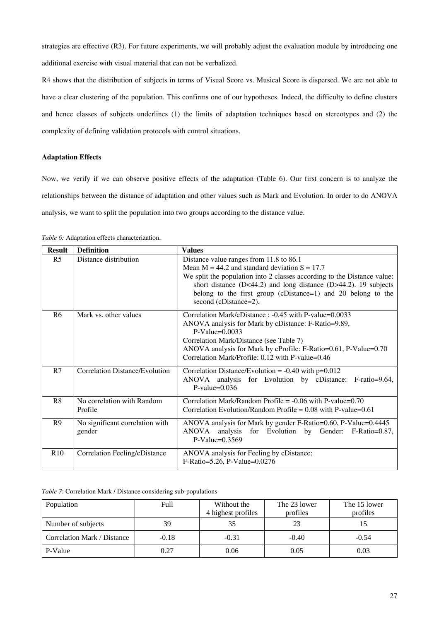strategies are effective (R3). For future experiments, we will probably adjust the evaluation module by introducing one additional exercise with visual material that can not be verbalized.

R4 shows that the distribution of subjects in terms of Visual Score vs. Musical Score is dispersed. We are not able to have a clear clustering of the population. This confirms one of our hypotheses. Indeed, the difficulty to define clusters and hence classes of subjects underlines (1) the limits of adaptation techniques based on stereotypes and (2) the complexity of defining validation protocols with control situations.

## **Adaptation Effects**

Now, we verify if we can observe positive effects of the adaptation (Table 6). Our first concern is to analyze the relationships between the distance of adaptation and other values such as Mark and Evolution. In order to do ANOVA analysis, we want to split the population into two groups according to the distance value.

| <b>Result</b>  | <b>Definition</b>                         | <b>Values</b>                                                                                                                                                                                                                                                                                                                            |
|----------------|-------------------------------------------|------------------------------------------------------------------------------------------------------------------------------------------------------------------------------------------------------------------------------------------------------------------------------------------------------------------------------------------|
| R <sub>5</sub> | Distance distribution                     | Distance value ranges from 11.8 to 86.1<br>Mean $M = 44.2$ and standard deviation $S = 17.7$<br>We split the population into 2 classes according to the Distance value:<br>short distance $(D<44.2)$ and long distance $(D>44.2)$ . 19 subjects<br>belong to the first group (cDistance=1) and 20 belong to the<br>second (cDistance=2). |
| R <sub>6</sub> | Mark vs. other values                     | Correlation Mark/cDistance : -0.45 with P-value=0.0033<br>ANOVA analysis for Mark by cDistance: F-Ratio=9.89,<br>$P-Value=0.0033$<br>Correlation Mark/Distance (see Table 7)<br>ANOVA analysis for Mark by cProfile: F-Ratio=0.61, P-Value=0.70<br>Correlation Mark/Profile: $0.12$ with P-value= $0.46$                                 |
| R7             | <b>Correlation Distance/Evolution</b>     | Correlation Distance/Evolution = $-0.40$ with p=0.012<br>ANOVA analysis for Evolution by cDistance: F-ratio=9.64,<br>$P-value=0.036$                                                                                                                                                                                                     |
| R8             | No correlation with Random<br>Profile     | Correlation Mark/Random Profile = $-0.06$ with P-value= $0.70$<br>Correlation Evolution/Random Profile = $0.08$ with P-value= $0.61$                                                                                                                                                                                                     |
| R <sub>9</sub> | No significant correlation with<br>gender | ANOVA analysis for Mark by gender F-Ratio=0.60, P-Value=0.4445<br>analysis for Evolution by Gender: F-Ratio=0.87,<br>ANOVA<br>$P-Value=0.3569$                                                                                                                                                                                           |
| R10            | Correlation Feeling/cDistance             | ANOVA analysis for Feeling by cDistance:<br>F-Ratio=5.26, P-Value=0.0276                                                                                                                                                                                                                                                                 |

*Table 6:* Adaptation effects characterization.

*Table 7*: Correlation Mark / Distance considering sub-populations

| Population                  | Full    | Without the        | The 23 lower | The 15 lower |
|-----------------------------|---------|--------------------|--------------|--------------|
|                             |         | 4 highest profiles | profiles     | profiles     |
| Number of subjects          | 39      | 35                 | 23           |              |
| Correlation Mark / Distance | $-0.18$ | $-0.31$            | $-0.40$      | $-0.54$      |
| P-Value                     | 0.27    | 0.06               | 0.05         | 0.03         |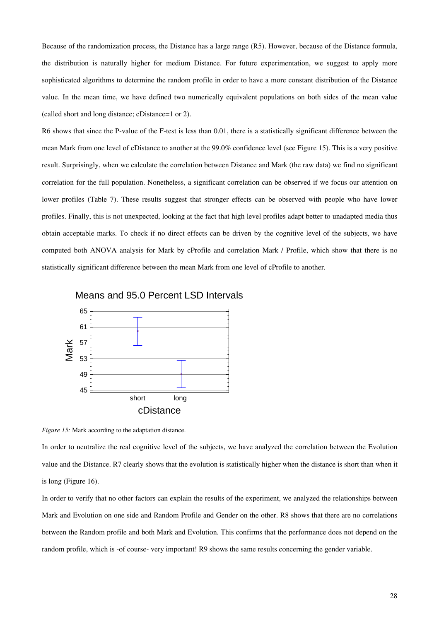Because of the randomization process, the Distance has a large range (R5). However, because of the Distance formula, the distribution is naturally higher for medium Distance. For future experimentation, we suggest to apply more sophisticated algorithms to determine the random profile in order to have a more constant distribution of the Distance value. In the mean time, we have defined two numerically equivalent populations on both sides of the mean value (called short and long distance; cDistance=1 or 2).

R6 shows that since the P-value of the F-test is less than 0.01, there is a statistically significant difference between the mean Mark from one level of cDistance to another at the 99.0% confidence level (see Figure 15). This is a very positive result. Surprisingly, when we calculate the correlation between Distance and Mark (the raw data) we find no significant correlation for the full population. Nonetheless, a significant correlation can be observed if we focus our attention on lower profiles (Table 7). These results suggest that stronger effects can be observed with people who have lower profiles. Finally, this is not unexpected, looking at the fact that high level profiles adapt better to unadapted media thus obtain acceptable marks. To check if no direct effects can be driven by the cognitive level of the subjects, we have computed both ANOVA analysis for Mark by cProfile and correlation Mark / Profile, which show that there is no statistically significant difference between the mean Mark from one level of cProfile to another.



Means and 95.0 Percent LSD Intervals

*Figure 15:* Mark according to the adaptation distance.

In order to neutralize the real cognitive level of the subjects, we have analyzed the correlation between the Evolution value and the Distance. R7 clearly shows that the evolution is statistically higher when the distance is short than when it is long (Figure 16).

In order to verify that no other factors can explain the results of the experiment, we analyzed the relationships between Mark and Evolution on one side and Random Profile and Gender on the other. R8 shows that there are no correlations between the Random profile and both Mark and Evolution. This confirms that the performance does not depend on the random profile, which is -of course- very important! R9 shows the same results concerning the gender variable.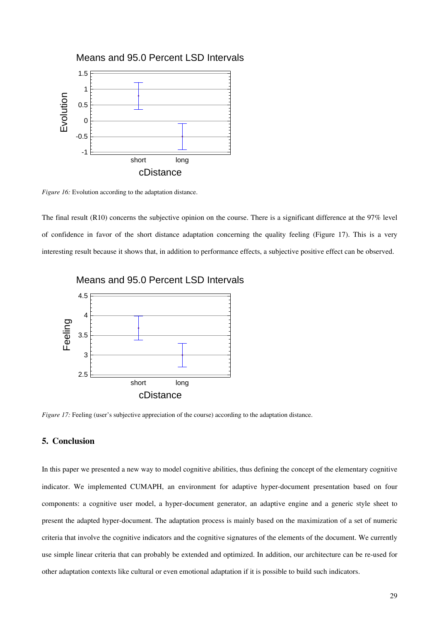

*Figure 16:* Evolution according to the adaptation distance.

The final result (R10) concerns the subjective opinion on the course. There is a significant difference at the 97% level of confidence in favor of the short distance adaptation concerning the quality feeling (Figure 17). This is a very interesting result because it shows that, in addition to performance effects, a subjective positive effect can be observed.



Means and 95.0 Percent LSD Intervals

*Figure 17:* Feeling (user's subjective appreciation of the course) according to the adaptation distance.

## **5. Conclusion**

In this paper we presented a new way to model cognitive abilities, thus defining the concept of the elementary cognitive indicator. We implemented CUMAPH, an environment for adaptive hyper-document presentation based on four components: a cognitive user model, a hyper-document generator, an adaptive engine and a generic style sheet to present the adapted hyper-document. The adaptation process is mainly based on the maximization of a set of numeric criteria that involve the cognitive indicators and the cognitive signatures of the elements of the document. We currently use simple linear criteria that can probably be extended and optimized. In addition, our architecture can be re-used for other adaptation contexts like cultural or even emotional adaptation if it is possible to build such indicators.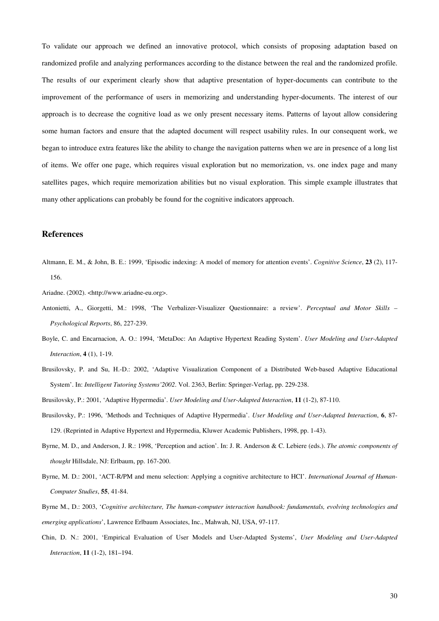To validate our approach we defined an innovative protocol, which consists of proposing adaptation based on randomized profile and analyzing performances according to the distance between the real and the randomized profile. The results of our experiment clearly show that adaptive presentation of hyper-documents can contribute to the improvement of the performance of users in memorizing and understanding hyper-documents. The interest of our approach is to decrease the cognitive load as we only present necessary items. Patterns of layout allow considering some human factors and ensure that the adapted document will respect usability rules. In our consequent work, we began to introduce extra features like the ability to change the navigation patterns when we are in presence of a long list of items. We offer one page, which requires visual exploration but no memorization, vs. one index page and many satellites pages, which require memorization abilities but no visual exploration. This simple example illustrates that many other applications can probably be found for the cognitive indicators approach.

## **References**

Altmann, E. M., & John, B. E.: 1999, 'Episodic indexing: A model of memory for attention events'. *Cognitive Science*, **23** (2), 117- 156.

Ariadne. (2002). <http://www.ariadne-eu.org>.

- Antonietti, A., Giorgetti, M.: 1998, 'The Verbalizer-Visualizer Questionnaire: a review'. *Perceptual and Motor Skills Psychological Reports*, 86, 227-239.
- Boyle, C. and Encarnacion, A. O.: 1994, 'MetaDoc: An Adaptive Hypertext Reading System'. *User Modeling and User-Adapted Interaction*, **4** (1), 1-19.
- Brusilovsky, P. and Su, H.-D.: 2002, 'Adaptive Visualization Component of a Distributed Web-based Adaptive Educational System'. In: *Intelligent Tutoring Systems'2002*. Vol. 2363, Berlin: Springer-Verlag, pp. 229-238.

Brusilovsky, P.: 2001, 'Adaptive Hypermedia'. *User Modeling and User-Adapted Interaction*, **11** (1-2), 87-110.

- Brusilovsky, P.: 1996, 'Methods and Techniques of Adaptive Hypermedia'. *User Modeling and User-Adapted Interaction*, **6**, 87- 129. (Reprinted in Adaptive Hypertext and Hypermedia, Kluwer Academic Publishers, 1998, pp. 1-43).
- Byrne, M. D., and Anderson, J. R.: 1998, 'Perception and action'. In: J. R. Anderson & C. Lebiere (eds.). *The atomic components of thought* Hillsdale, NJ: Erlbaum, pp. 167-200.
- Byrne, M. D.: 2001, 'ACT-R/PM and menu selection: Applying a cognitive architecture to HCI'. *International Journal of Human-Computer Studies*, **55**, 41-84.
- Byrne M., D.: 2003, '*Cognitive architecture, The human-computer interaction handbook: fundamentals, evolving technologies and emerging applications*', Lawrence Erlbaum Associates, Inc., Mahwah, NJ, USA, 97-117.
- Chin, D. N.: 2001, 'Empirical Evaluation of User Models and User-Adapted Systems', *User Modeling and User-Adapted Interaction*, **11** (1-2), 181–194.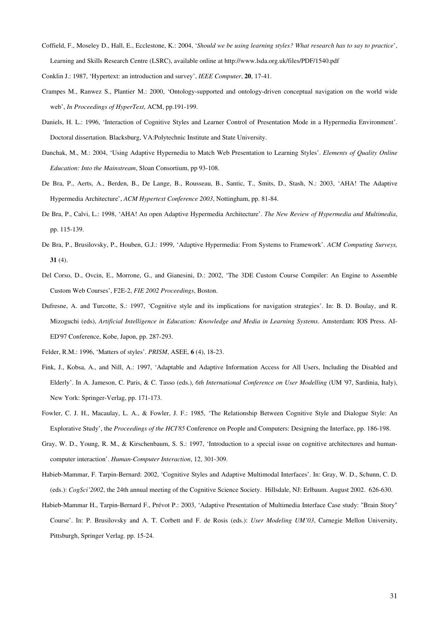Coffield, F., Moseley D., Hall, E., Ecclestone, K.: 2004, '*Should we be using learning styles? What research has to say to practice*', Learning and Skills Research Centre (LSRC), available online at http://www.lsda.org.uk/files/PDF/1540.pdf

Conklin J.: 1987, 'Hypertext: an introduction and survey', *IEEE Computer*, **20**, 17-41.

- Crampes M., Ranwez S., Plantier M.: 2000, 'Ontology-supported and ontology-driven conceptual navigation on the world wide web', *In Proceedings of HyperText*, ACM, pp.191-199.
- Daniels, H. L.: 1996, 'Interaction of Cognitive Styles and Learner Control of Presentation Mode in a Hypermedia Environment'. Doctoral dissertation. Blacksburg, VA:Polytechnic Institute and State University.
- Danchak, M., M.: 2004, 'Using Adaptive Hypernedia to Match Web Presentation to Learning Styles'. *Elements of Quality Online Education: Into the Mainstream*, Sloan Consortium, pp 93-108.
- De Bra, P., Aerts, A., Berden, B., De Lange, B., Rousseau, B., Santic, T., Smits, D., Stash, N.: 2003, 'AHA! The Adaptive Hypermedia Architecture', *ACM Hypertext Conference 2003*, Nottingham, pp. 81-84.
- De Bra, P., Calvi, L.: 1998, 'AHA! An open Adaptive Hypermedia Architecture'. *The New Review of Hypermedia and Multimedia*, pp. 115-139.
- De Bra, P., Brusilovsky, P., Houben, G.J.: 1999, 'Adaptive Hypermedia: From Systems to Framework'. *ACM Computing Surveys,* **31** (4).
- Del Corso, D., Ovcin, E., Morrone, G., and Gianesini, D.: 2002, 'The 3DE Custom Course Compiler: An Engine to Assemble Custom Web Courses', F2E-2, *FIE 2002 Proceedings*, Boston.
- Dufresne, A. and Turcotte, S.: 1997, 'Cognitive style and its implications for navigation strategies'. In: B. D. Boulay, and R. Mizoguchi (eds), *Artificial Intelligence in Education: Knowledge and Media in Learning Systems*. Amsterdam: IOS Press. AI-ED'97 Conference, Kobe, Japon, pp. 287-293.

Felder, R.M.: 1996, 'Matters of styles'. *PRISM*, ASEE, **6** (4), 18-23.

- Fink, J., Kobsa, A., and Nill, A.: 1997, 'Adaptable and Adaptive Information Access for All Users, Including the Disabled and Elderly'. In A. Jameson, C. Paris, & C. Tasso (eds.), *6th International Conference on User Modelling* (UM '97, Sardinia, Italy), New York: Springer-Verlag, pp. 171-173.
- Fowler, C. J. H., Macaulay, L. A., & Fowler, J. F.: 1985, 'The Relationship Between Cognitive Style and Dialogue Style: An Explorative Study', the *Proceedings of the HCI'85* Conference on People and Computers: Designing the Interface, pp. 186-198.
- Gray, W. D., Young, R. M., & Kirschenbaum, S. S.: 1997, 'Introduction to a special issue on cognitive architectures and humancomputer interaction'. *Human-Computer Interaction*, 12, 301-309.
- Habieb-Mammar, F. Tarpin-Bernard: 2002, 'Cognitive Styles and Adaptive Multimodal Interfaces'. In: Gray, W. D., Schunn, C. D. (eds.): *CogSci'2002*, the 24th annual meeting of the Cognitive Science Society. Hillsdale, NJ: Erlbaum. August 2002. 626-630.
- Habieb-Mammar H., Tarpin-Bernard F., Prévot P.: 2003, 'Adaptive Presentation of Multimedia Interface Case study: "Brain Story" Course'. In: P. Brusilovsky and A. T. Corbett and F. de Rosis (eds.): *User Modeling UM'03*, Carnegie Mellon University, Pittsburgh, Springer Verlag. pp. 15-24.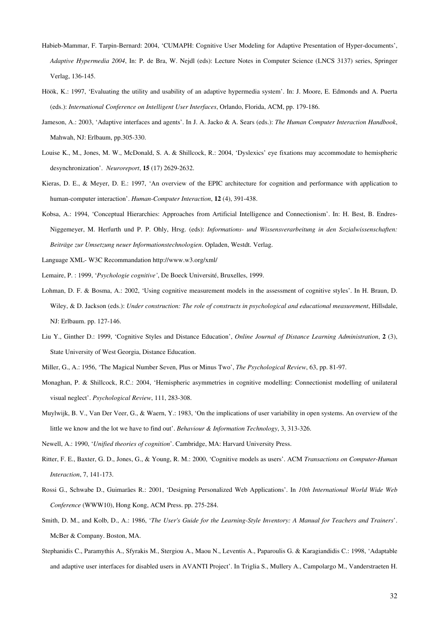- Habieb-Mammar, F. Tarpin-Bernard: 2004, 'CUMAPH: Cognitive User Modeling for Adaptive Presentation of Hyper-documents', *Adaptive Hypermedia 2004*, In: P. de Bra, W. Nejdl (eds): Lecture Notes in Computer Science (LNCS 3137) series, Springer Verlag, 136-145.
- Höök, K.: 1997, 'Evaluating the utility and usability of an adaptive hypermedia system'. In: J. Moore, E. Edmonds and A. Puerta (eds.): *International Conference on Intelligent User Interfaces*, Orlando, Florida, ACM, pp. 179-186.
- Jameson, A.: 2003, 'Adaptive interfaces and agents'. In J. A. Jacko & A. Sears (eds.): *The Human Computer Interaction Handbook*, Mahwah, NJ: Erlbaum, pp.305-330.
- Louise K., M., Jones, M. W., McDonald, S. A. & Shillcock, R.: 2004, 'Dyslexics' eye fixations may accommodate to hemispheric desynchronization'. *Neuroreport*, **15** (17) 2629-2632.
- Kieras, D. E., & Meyer, D. E.: 1997, 'An overview of the EPIC architecture for cognition and performance with application to human-computer interaction'. *Human-Computer Interaction*, **12** (4), 391-438.
- Kobsa, A.: 1994, 'Conceptual Hierarchies: Approaches from Artificial Intelligence and Connectionism'. In: H. Best, B. Endres-Niggemeyer, M. Herfurth und P. P. Ohly, Hrsg. (eds): *Informations- und Wissensverarbeitung in den Sozialwissenschaften: Beiträge zur Umsetzung neuer Informationstechnologien*. Opladen, Westdt. Verlag.
- Language XML- W3C Recommandation http://www.w3.org/xml/
- Lemaire, P. : 1999, '*Psychologie cognitive'*, De Boeck Université, Bruxelles, 1999.
- Lohman, D. F. & Bosma, A.: 2002, 'Using cognitive measurement models in the assessment of cognitive styles'. In H. Braun, D. Wiley, & D. Jackson (eds.): *Under construction: The role of constructs in psychological and educational measurement*, Hillsdale, NJ: Erlbaum. pp. 127-146.
- Liu Y., Ginther D.: 1999, 'Cognitive Styles and Distance Education', *Online Journal of Distance Learning Administration*, **2** (3), State University of West Georgia, Distance Education.
- Miller, G., A.: 1956, 'The Magical Number Seven, Plus or Minus Two', *The Psychological Review*, 63, pp. 81-97.
- Monaghan, P. & Shillcock, R.C.: 2004, 'Hemispheric asymmetries in cognitive modelling: Connectionist modelling of unilateral visual neglect'. *Psychological Review*, 111, 283-308.
- Muylwijk, B. V., Van Der Veer, G., & Waern, Y.: 1983, 'On the implications of user variability in open systems. An overview of the little we know and the lot we have to find out'. *Behaviour & Information Technology*, 3, 313-326.
- Newell, A.: 1990, '*Unified theories of cognition*'. Cambridge, MA: Harvard University Press.
- Ritter, F. E., Baxter, G. D., Jones, G., & Young, R. M.: 2000, 'Cognitive models as users'. ACM *Transactions on Computer-Human Interaction*, 7, 141-173.
- Rossi G., Schwabe D., Guimarães R.: 2001, 'Designing Personalized Web Applications'. In *10th International World Wide Web Conference* (WWW10), Hong Kong, ACM Press. pp. 275-284.
- Smith, D. M., and Kolb, D., A.: 1986, '*The User's Guide for the Learning-Style Inventory: A Manual for Teachers and Trainers*'. McBer & Company. Boston, MA.
- Stephanidis C., Paramythis A., Sfyrakis M., Stergiou A., Maou N., Leventis A., Paparoulis G. & Karagiandidis C.: 1998, 'Adaptable and adaptive user interfaces for disabled users in AVANTI Project'. In Triglia S., Mullery A., Campolargo M., Vanderstraeten H.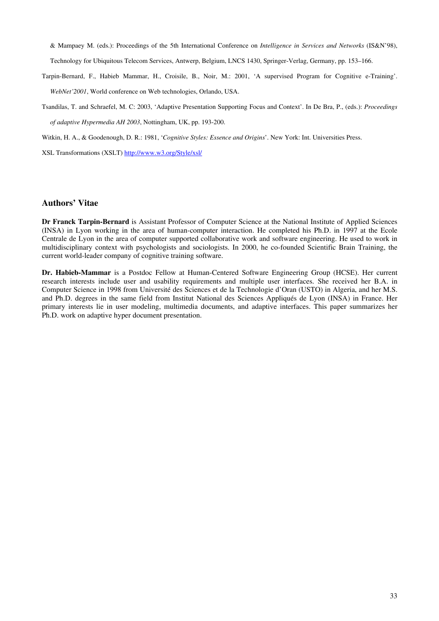& Mampaey M. (eds.): Proceedings of the 5th International Conference on *Intelligence in Services and Networks* (IS&N'98),

Technology for Ubiquitous Telecom Services, Antwerp, Belgium, LNCS 1430, Springer-Verlag, Germany, pp. 153–166.

- Tarpin-Bernard, F., Habieb Mammar, H., Croisile, B., Noir, M.: 2001, 'A supervised Program for Cognitive e-Training'. *WebNet'2001*, World conference on Web technologies, Orlando, USA.
- Tsandilas, T. and Schraefel, M. C: 2003, 'Adaptive Presentation Supporting Focus and Context'. In De Bra, P., (eds.): *Proceedings of adaptive Hypermedia AH 2003*, Nottingham, UK, pp. 193-200.

Witkin, H. A., & Goodenough, D. R.: 1981, '*Cognitive Styles: Essence and Origins*'. New York: Int. Universities Press.

XSL Transformations (XSLT) http://www.w3.org/Style/xsl/

### **Authors' Vitae**

**Dr Franck Tarpin-Bernard** is Assistant Professor of Computer Science at the National Institute of Applied Sciences (INSA) in Lyon working in the area of human-computer interaction. He completed his Ph.D. in 1997 at the Ecole Centrale de Lyon in the area of computer supported collaborative work and software engineering. He used to work in multidisciplinary context with psychologists and sociologists. In 2000, he co-founded Scientific Brain Training, the current world-leader company of cognitive training software.

**Dr. Habieb-Mammar** is a Postdoc Fellow at Human-Centered Software Engineering Group (HCSE). Her current research interests include user and usability requirements and multiple user interfaces. She received her B.A. in Computer Science in 1998 from Université des Sciences et de la Technologie d'Oran (USTO) in Algeria, and her M.S. and Ph.D. degrees in the same field from Institut National des Sciences Appliqués de Lyon (INSA) in France. Her primary interests lie in user modeling, multimedia documents, and adaptive interfaces. This paper summarizes her Ph.D. work on adaptive hyper document presentation.